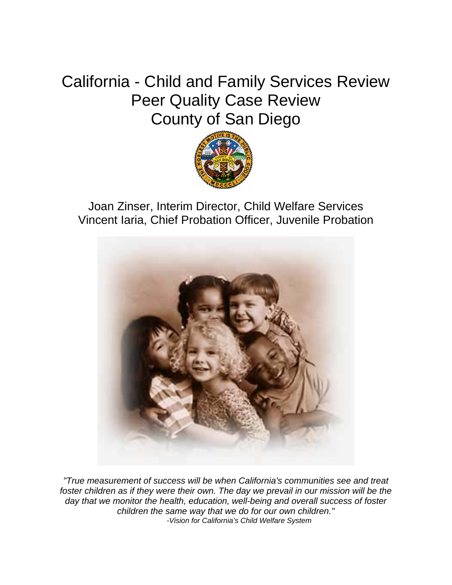# California - Child and Family Services Review Peer Quality Case Review County of San Diego



Joan Zinser, Interim Director, Child Welfare Services Vincent Iaria, Chief Probation Officer, Juvenile Probation



*"True measurement of success will be when California's communities see and treat*  foster children as if they were their own. The day we prevail in our mission will be the *day that we monitor the health, education, well-being and overall success of foster children the same way that we do for our own children." -Vision for California's Child Welfare System*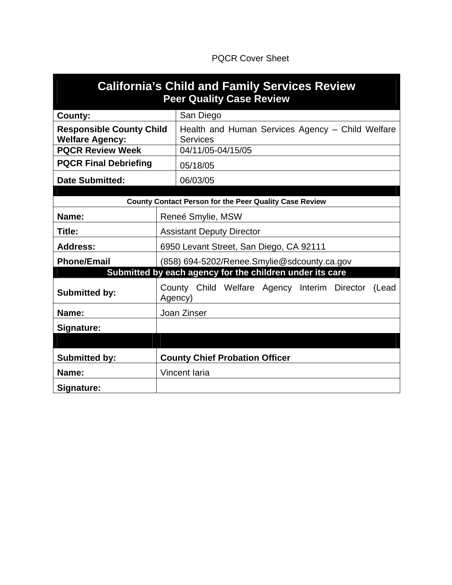# PQCR Cover Sheet

| <b>California's Child and Family Services Review</b><br><b>Peer Quality Case Review</b> |                                                                     |  |  |  |
|-----------------------------------------------------------------------------------------|---------------------------------------------------------------------|--|--|--|
| County:                                                                                 | San Diego                                                           |  |  |  |
| <b>Responsible County Child</b><br><b>Welfare Agency:</b>                               | Health and Human Services Agency - Child Welfare<br><b>Services</b> |  |  |  |
| <b>PQCR Review Week</b>                                                                 | 04/11/05-04/15/05                                                   |  |  |  |
| <b>PQCR Final Debriefing</b>                                                            | 05/18/05                                                            |  |  |  |
| <b>Date Submitted:</b>                                                                  | 06/03/05                                                            |  |  |  |
|                                                                                         |                                                                     |  |  |  |
|                                                                                         | <b>County Contact Person for the Peer Quality Case Review</b>       |  |  |  |
| Name:                                                                                   | Reneé Smylie, MSW                                                   |  |  |  |
| Title:                                                                                  | <b>Assistant Deputy Director</b>                                    |  |  |  |
| <b>Address:</b>                                                                         | 6950 Levant Street, San Diego, CA 92111                             |  |  |  |
| <b>Phone/Email</b>                                                                      | (858) 694-5202/Renee.Smylie@sdcounty.ca.gov                         |  |  |  |
|                                                                                         | Submitted by each agency for the children under its care            |  |  |  |
| <b>Submitted by:</b>                                                                    | County Child Welfare Agency Interim Director<br>(Lead<br>Agency)    |  |  |  |
| Name:                                                                                   | Joan Zinser                                                         |  |  |  |
| Signature:                                                                              |                                                                     |  |  |  |
|                                                                                         |                                                                     |  |  |  |
| <b>Submitted by:</b>                                                                    | <b>County Chief Probation Officer</b>                               |  |  |  |
| Name:                                                                                   | Vincent Iaria                                                       |  |  |  |
| Signature:                                                                              |                                                                     |  |  |  |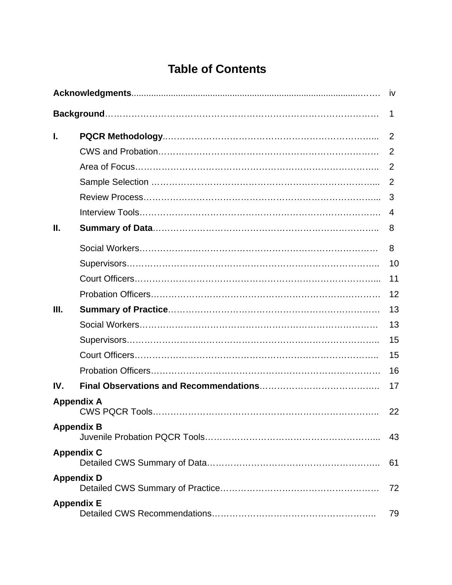# **Table of Contents**

|      |                   | <b>iv</b>      |
|------|-------------------|----------------|
|      |                   | 1              |
| ı.   |                   | $\overline{2}$ |
|      |                   | 2              |
|      |                   | 2              |
|      |                   | 2              |
|      |                   | 3              |
|      |                   | 4              |
| Ш.   |                   | 8              |
|      |                   | 8              |
|      |                   | 10             |
|      |                   | 11             |
|      |                   | 12             |
| III. |                   | 13             |
|      |                   | 13             |
|      |                   | 15             |
|      |                   | 15             |
|      |                   | 16             |
| IV.  |                   | 17             |
|      | <b>Appendix A</b> | 22             |
|      | <b>Appendix B</b> | 43             |
|      | <b>Appendix C</b> | 61             |
|      | <b>Appendix D</b> | 72             |
|      | <b>Appendix E</b> | 79             |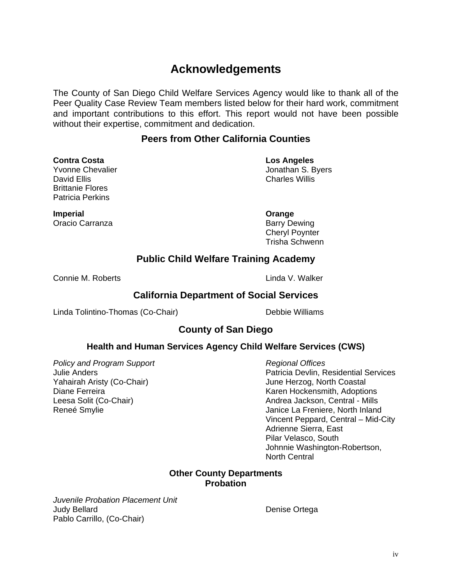# **Acknowledgements**

The County of San Diego Child Welfare Services Agency would like to thank all of the Peer Quality Case Review Team members listed below for their hard work, commitment and important contributions to this effort. This report would not have been possible without their expertise, commitment and dedication.

# **Peers from Other California Counties**

**Contra Costa Los Angeles** David Ellis **Charles Willis** Brittanie Flores Patricia Perkins

Yvonne Chevalier **Volume** Jonathan S. Byers

**Imperial** Crange **Constanting Crange** Oracio Carranza **Barry Dewing** 

 Cheryl Poynter Trisha Schwenn

# **Public Child Welfare Training Academy**

Connie M. Roberts **Linda V. Walker** 

# **California Department of Social Services**

Linda Tolintino-Thomas (Co-Chair) Debbie Williams

# **County of San Diego**

# **Health and Human Services Agency Child Welfare Services (CWS)**

**Policy and Program Support**  *Policy and Program Support* 

Julie Anders Patricia Devlin, Residential Services Yahairah Aristy (Co-Chair) June Herzog, North Coastal Diane Ferreira **Karen Hockensmith, Adoptions** Caren Hockensmith, Adoptions Leesa Solit (Co-Chair) **Andrea Jackson, Central - Mills** Andrea Jackson, Central - Mills Reneé Smylie **Grand Contract Contract Contract Contract Contract Contract Contract Contract Contract Contract Contract Contract Contract Contract Contract Contract Contract Contract Contract Contract Contract Contract Cont**  Vincent Peppard, Central – Mid-City Adrienne Sierra, East Pilar Velasco, South Johnnie Washington-Robertson, North Central

## **Other County Departments Probation**

*Juvenile Probation Placement Unit*  Judy Bellard **Denise Ortega** Pablo Carrillo, (Co-Chair)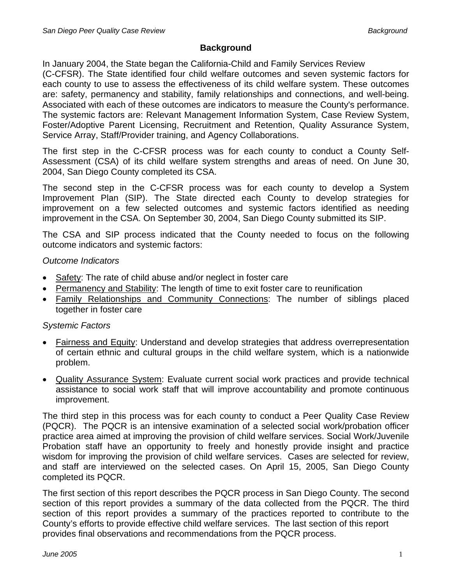# **Background**

In January 2004, the State began the California-Child and Family Services Review (C-CFSR). The State identified four child welfare outcomes and seven systemic factors for each county to use to assess the effectiveness of its child welfare system. These outcomes are: safety, permanency and stability, family relationships and connections, and well-being. Associated with each of these outcomes are indicators to measure the County's performance. The systemic factors are: Relevant Management Information System, Case Review System, Foster/Adoptive Parent Licensing, Recruitment and Retention, Quality Assurance System, Service Array, Staff/Provider training, and Agency Collaborations.

The first step in the C-CFSR process was for each county to conduct a County Self-Assessment (CSA) of its child welfare system strengths and areas of need. On June 30, 2004, San Diego County completed its CSA.

The second step in the C-CFSR process was for each county to develop a System Improvement Plan (SIP). The State directed each County to develop strategies for improvement on a few selected outcomes and systemic factors identified as needing improvement in the CSA. On September 30, 2004, San Diego County submitted its SIP.

The CSA and SIP process indicated that the County needed to focus on the following outcome indicators and systemic factors:

# *Outcome Indicators*

- Safety: The rate of child abuse and/or neglect in foster care
- Permanency and Stability: The length of time to exit foster care to reunification
- Family Relationships and Community Connections: The number of siblings placed together in foster care

# *Systemic Factors*

- Fairness and Equity: Understand and develop strategies that address overrepresentation of certain ethnic and cultural groups in the child welfare system, which is a nationwide problem.
- Quality Assurance System: Evaluate current social work practices and provide technical assistance to social work staff that will improve accountability and promote continuous improvement.

The third step in this process was for each county to conduct a Peer Quality Case Review (PQCR). The PQCR is an intensive examination of a selected social work/probation officer practice area aimed at improving the provision of child welfare services. Social Work/Juvenile Probation staff have an opportunity to freely and honestly provide insight and practice wisdom for improving the provision of child welfare services. Cases are selected for review, and staff are interviewed on the selected cases. On April 15, 2005, San Diego County completed its PQCR.

The first section of this report describes the PQCR process in San Diego County. The second section of this report provides a summary of the data collected from the PQCR. The third section of this report provides a summary of the practices reported to contribute to the County's efforts to provide effective child welfare services. The last section of this report provides final observations and recommendations from the PQCR process.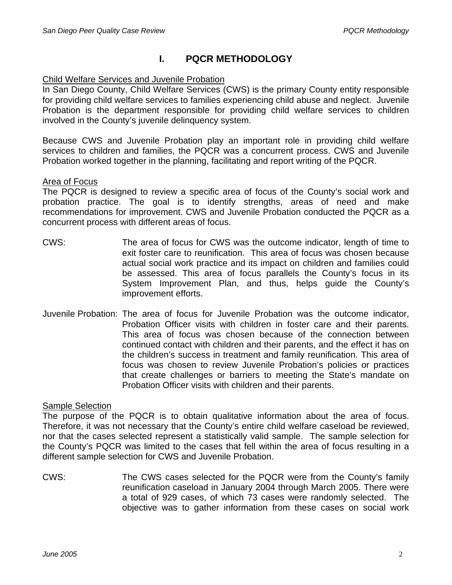# **I. PQCR METHODOLOGY**

## Child Welfare Services and Juvenile Probation

In San Diego County, Child Welfare Services (CWS) is the primary County entity responsible for providing child welfare services to families experiencing child abuse and neglect. Juvenile Probation is the department responsible for providing child welfare services to children involved in the County's juvenile delinquency system.

Because CWS and Juvenile Probation play an important role in providing child welfare services to children and families, the PQCR was a concurrent process. CWS and Juvenile Probation worked together in the planning, facilitating and report writing of the PQCR.

## Area of Focus

The PQCR is designed to review a specific area of focus of the County's social work and probation practice. The goal is to identify strengths, areas of need and make recommendations for improvement. CWS and Juvenile Probation conducted the PQCR as a concurrent process with different areas of focus.

- CWS: The area of focus for CWS was the outcome indicator, length of time to exit foster care to reunification. This area of focus was chosen because actual social work practice and its impact on children and families could be assessed. This area of focus parallels the County's focus in its System Improvement Plan, and thus, helps guide the County's improvement efforts.
- Juvenile Probation: The area of focus for Juvenile Probation was the outcome indicator, Probation Officer visits with children in foster care and their parents. This area of focus was chosen because of the connection between continued contact with children and their parents, and the effect it has on the children's success in treatment and family reunification. This area of focus was chosen to review Juvenile Probation's policies or practices that create challenges or barriers to meeting the State's mandate on Probation Officer visits with children and their parents.

## **Sample Selection**

The purpose of the PQCR is to obtain qualitative information about the area of focus. Therefore, it was not necessary that the County's entire child welfare caseload be reviewed, nor that the cases selected represent a statistically valid sample. The sample selection for the County's PQCR was limited to the cases that fell within the area of focus resulting in a different sample selection for CWS and Juvenile Probation.

CWS: The CWS cases selected for the PQCR were from the County's family reunification caseload in January 2004 through March 2005. There were a total of 929 cases, of which 73 cases were randomly selected. The objective was to gather information from these cases on social work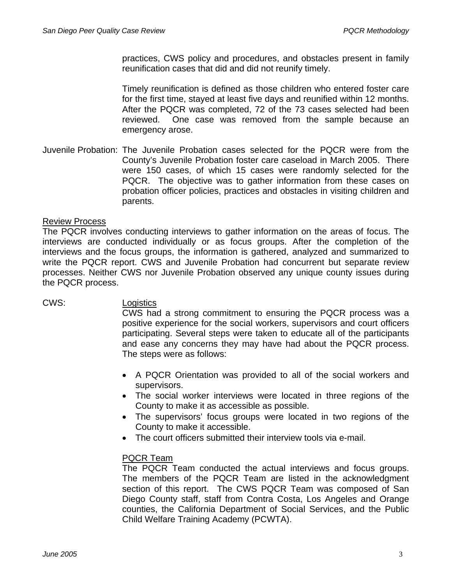practices, CWS policy and procedures, and obstacles present in family reunification cases that did and did not reunify timely.

Timely reunification is defined as those children who entered foster care for the first time, stayed at least five days and reunified within 12 months. After the PQCR was completed, 72 of the 73 cases selected had been reviewed. One case was removed from the sample because an emergency arose.

Juvenile Probation: The Juvenile Probation cases selected for the PQCR were from the County's Juvenile Probation foster care caseload in March 2005. There were 150 cases, of which 15 cases were randomly selected for the PQCR. The objective was to gather information from these cases on probation officer policies, practices and obstacles in visiting children and parents.

## Review Process

The PQCR involves conducting interviews to gather information on the areas of focus. The interviews are conducted individually or as focus groups. After the completion of the interviews and the focus groups, the information is gathered, analyzed and summarized to write the PQCR report. CWS and Juvenile Probation had concurrent but separate review processes. Neither CWS nor Juvenile Probation observed any unique county issues during the PQCR process.

## CWS: Logistics

CWS had a strong commitment to ensuring the PQCR process was a positive experience for the social workers, supervisors and court officers participating. Several steps were taken to educate all of the participants and ease any concerns they may have had about the PQCR process. The steps were as follows:

- A PQCR Orientation was provided to all of the social workers and supervisors.
- The social worker interviews were located in three regions of the County to make it as accessible as possible.
- The supervisors' focus groups were located in two regions of the County to make it accessible.
- The court officers submitted their interview tools via e-mail.

## PQCR Team

The PQCR Team conducted the actual interviews and focus groups. The members of the PQCR Team are listed in the acknowledgment section of this report. The CWS PQCR Team was composed of San Diego County staff, staff from Contra Costa, Los Angeles and Orange counties, the California Department of Social Services, and the Public Child Welfare Training Academy (PCWTA).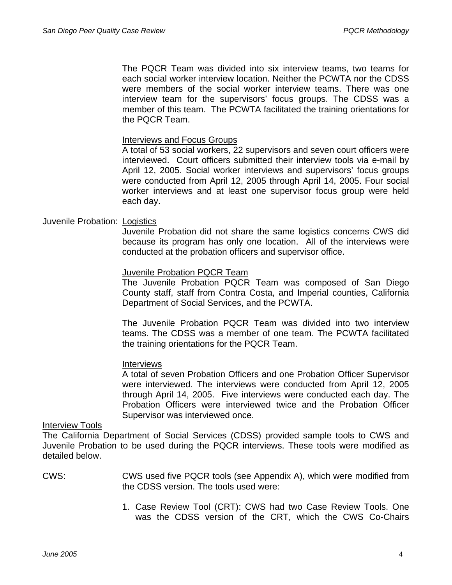The PQCR Team was divided into six interview teams, two teams for each social worker interview location. Neither the PCWTA nor the CDSS were members of the social worker interview teams. There was one interview team for the supervisors' focus groups. The CDSS was a member of this team. The PCWTA facilitated the training orientations for the PQCR Team.

## Interviews and Focus Groups

A total of 53 social workers, 22 supervisors and seven court officers were interviewed. Court officers submitted their interview tools via e-mail by April 12, 2005. Social worker interviews and supervisors' focus groups were conducted from April 12, 2005 through April 14, 2005. Four social worker interviews and at least one supervisor focus group were held each day.

## Juvenile Probation: Logistics

Juvenile Probation did not share the same logistics concerns CWS did because its program has only one location. All of the interviews were conducted at the probation officers and supervisor office.

## Juvenile Probation PQCR Team

The Juvenile Probation PQCR Team was composed of San Diego County staff, staff from Contra Costa, and Imperial counties, California Department of Social Services, and the PCWTA.

The Juvenile Probation PQCR Team was divided into two interview teams. The CDSS was a member of one team. The PCWTA facilitated the training orientations for the PQCR Team.

### Interviews

A total of seven Probation Officers and one Probation Officer Supervisor were interviewed. The interviews were conducted from April 12, 2005 through April 14, 2005. Five interviews were conducted each day. The Probation Officers were interviewed twice and the Probation Officer Supervisor was interviewed once.

### Interview Tools

The California Department of Social Services (CDSS) provided sample tools to CWS and Juvenile Probation to be used during the PQCR interviews. These tools were modified as detailed below.

- CWS: CWS used five PQCR tools (see Appendix A), which were modified from the CDSS version. The tools used were:
	- 1. Case Review Tool (CRT): CWS had two Case Review Tools. One was the CDSS version of the CRT, which the CWS Co-Chairs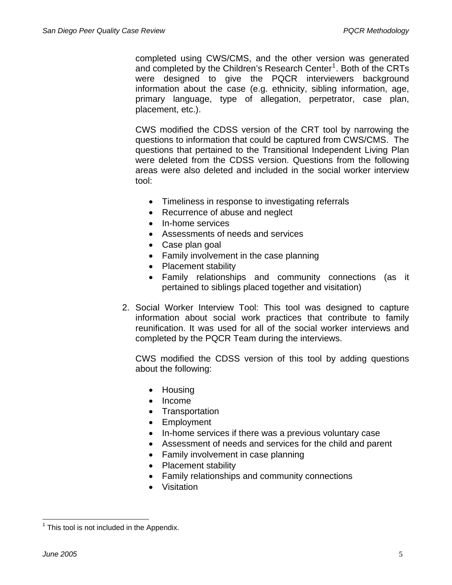completed using CWS/CMS, and the other version was generated and completed by the Children's Research Center<sup>[1](#page-8-0)</sup>. Both of the CRTs were designed to give the PQCR interviewers background information about the case (e.g. ethnicity, sibling information, age, primary language, type of allegation, perpetrator, case plan, placement, etc.).

CWS modified the CDSS version of the CRT tool by narrowing the questions to information that could be captured from CWS/CMS. The questions that pertained to the Transitional Independent Living Plan were deleted from the CDSS version. Questions from the following areas were also deleted and included in the social worker interview tool:

- Timeliness in response to investigating referrals
- Recurrence of abuse and neglect
- In-home services
- Assessments of needs and services
- Case plan goal
- Family involvement in the case planning
- Placement stability
- Family relationships and community connections (as it pertained to siblings placed together and visitation)
- 2. Social Worker Interview Tool: This tool was designed to capture information about social work practices that contribute to family reunification. It was used for all of the social worker interviews and completed by the PQCR Team during the interviews.

CWS modified the CDSS version of this tool by adding questions about the following:

- Housing
- Income
- Transportation
- Employment
- In-home services if there was a previous voluntary case
- Assessment of needs and services for the child and parent
- Family involvement in case planning
- Placement stability
- Family relationships and community connections
- Visitation

<span id="page-8-0"></span>l  $1$  This tool is not included in the Appendix.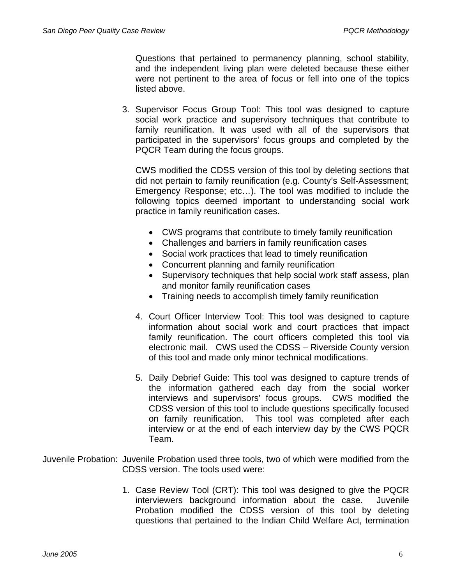Questions that pertained to permanency planning, school stability, and the independent living plan were deleted because these either were not pertinent to the area of focus or fell into one of the topics listed above.

3. Supervisor Focus Group Tool: This tool was designed to capture social work practice and supervisory techniques that contribute to family reunification. It was used with all of the supervisors that participated in the supervisors' focus groups and completed by the PQCR Team during the focus groups.

CWS modified the CDSS version of this tool by deleting sections that did not pertain to family reunification (e.g. County's Self-Assessment; Emergency Response; etc…). The tool was modified to include the following topics deemed important to understanding social work practice in family reunification cases.

- CWS programs that contribute to timely family reunification
- Challenges and barriers in family reunification cases
- Social work practices that lead to timely reunification
- Concurrent planning and family reunification
- Supervisory techniques that help social work staff assess, plan and monitor family reunification cases
- Training needs to accomplish timely family reunification
- 4. Court Officer Interview Tool: This tool was designed to capture information about social work and court practices that impact family reunification. The court officers completed this tool via electronic mail. CWS used the CDSS – Riverside County version of this tool and made only minor technical modifications.
- 5. Daily Debrief Guide: This tool was designed to capture trends of the information gathered each day from the social worker interviews and supervisors' focus groups. CWS modified the CDSS version of this tool to include questions specifically focused on family reunification. This tool was completed after each interview or at the end of each interview day by the CWS PQCR Team.
- Juvenile Probation: Juvenile Probation used three tools, two of which were modified from the CDSS version. The tools used were:
	- 1. Case Review Tool (CRT): This tool was designed to give the PQCR interviewers background information about the case. Juvenile Probation modified the CDSS version of this tool by deleting questions that pertained to the Indian Child Welfare Act, termination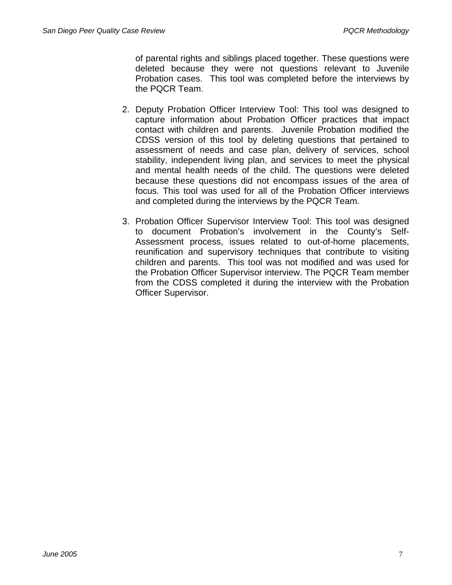of parental rights and siblings placed together. These questions were deleted because they were not questions relevant to Juvenile Probation cases. This tool was completed before the interviews by the PQCR Team.

- 2. Deputy Probation Officer Interview Tool: This tool was designed to capture information about Probation Officer practices that impact contact with children and parents. Juvenile Probation modified the CDSS version of this tool by deleting questions that pertained to assessment of needs and case plan, delivery of services, school stability, independent living plan, and services to meet the physical and mental health needs of the child. The questions were deleted because these questions did not encompass issues of the area of focus. This tool was used for all of the Probation Officer interviews and completed during the interviews by the PQCR Team.
- 3. Probation Officer Supervisor Interview Tool: This tool was designed to document Probation's involvement in the County's Self-Assessment process, issues related to out-of-home placements, reunification and supervisory techniques that contribute to visiting children and parents. This tool was not modified and was used for the Probation Officer Supervisor interview. The PQCR Team member from the CDSS completed it during the interview with the Probation Officer Supervisor.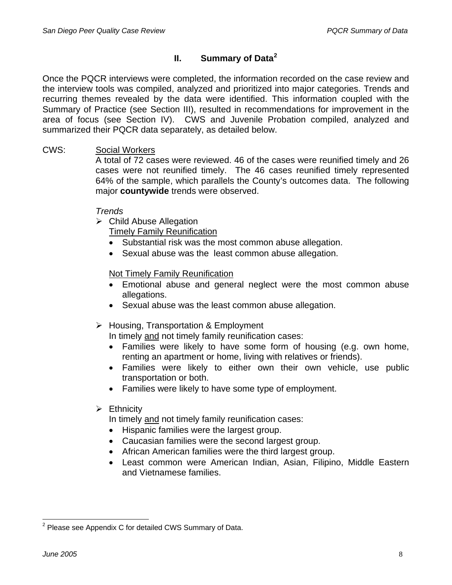# **II. Summary of Data[2](#page-11-0)**

Once the PQCR interviews were completed, the information recorded on the case review and the interview tools was compiled, analyzed and prioritized into major categories. Trends and recurring themes revealed by the data were identified. This information coupled with the Summary of Practice (see Section III), resulted in recommendations for improvement in the area of focus (see Section IV). CWS and Juvenile Probation compiled, analyzed and summarized their PQCR data separately, as detailed below.

# CWS: Social Workers

A total of 72 cases were reviewed. 46 of the cases were reunified timely and 26 cases were not reunified timely. The 46 cases reunified timely represented 64% of the sample, which parallels the County's outcomes data. The following major **countywide** trends were observed.

# *Trends*

 $\triangleright$  Child Abuse Allegation

Timely Family Reunification

- Substantial risk was the most common abuse allegation.
- Sexual abuse was the least common abuse allegation.

# Not Timely Family Reunification

- Emotional abuse and general neglect were the most common abuse allegations.
- Sexual abuse was the least common abuse allegation.

# ¾ Housing, Transportation & Employment

In timely and not timely family reunification cases:

- Families were likely to have some form of housing (e.g. own home, renting an apartment or home, living with relatives or friends).
- Families were likely to either own their own vehicle, use public transportation or both.
- Families were likely to have some type of employment.

# $\triangleright$  Ethnicity

In timely and not timely family reunification cases:

- Hispanic families were the largest group.
- Caucasian families were the second largest group.
- African American families were the third largest group.
- Least common were American Indian, Asian, Filipino, Middle Eastern and Vietnamese families.

<span id="page-11-0"></span>l  $2$  Please see Appendix C for detailed CWS Summary of Data.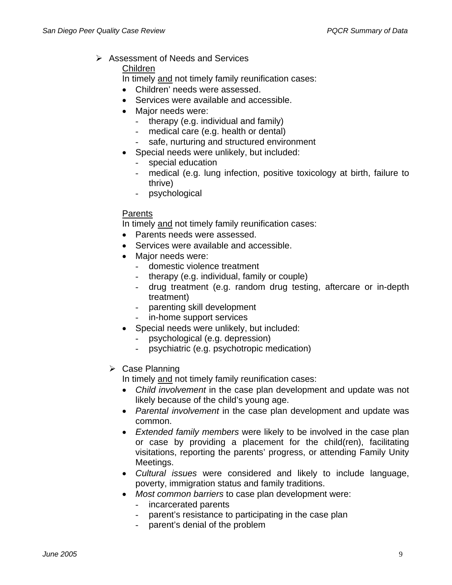$\triangleright$  Assessment of Needs and Services

Children

In timely and not timely family reunification cases:

- Children' needs were assessed.
- Services were available and accessible.
- Major needs were:
	- therapy (e.g. individual and family)
	- medical care (e.g. health or dental)
	- safe, nurturing and structured environment
- Special needs were unlikely, but included:
	- special education
	- medical (e.g. lung infection, positive toxicology at birth, failure to thrive)
	- psychological

# **Parents**

In timely and not timely family reunification cases:

- Parents needs were assessed.
- Services were available and accessible.
- Major needs were:
	- domestic violence treatment
	- therapy (e.g. individual, family or couple)
	- drug treatment (e.g. random drug testing, aftercare or in-depth treatment)
	- parenting skill development
	- in-home support services
- Special needs were unlikely, but included:
	- psychological (e.g. depression)
	- psychiatric (e.g. psychotropic medication)
- $\triangleright$  Case Planning

In timely and not timely family reunification cases:

- *Child involvement* in the case plan development and update was not likely because of the child's young age.
- *Parental involvement* in the case plan development and update was common.
- *Extended family members* were likely to be involved in the case plan or case by providing a placement for the child(ren), facilitating visitations, reporting the parents' progress, or attending Family Unity Meetings.
- *Cultural issues* were considered and likely to include language, poverty, immigration status and family traditions.
- *Most common barriers* to case plan development were:
	- incarcerated parents
	- parent's resistance to participating in the case plan
	- parent's denial of the problem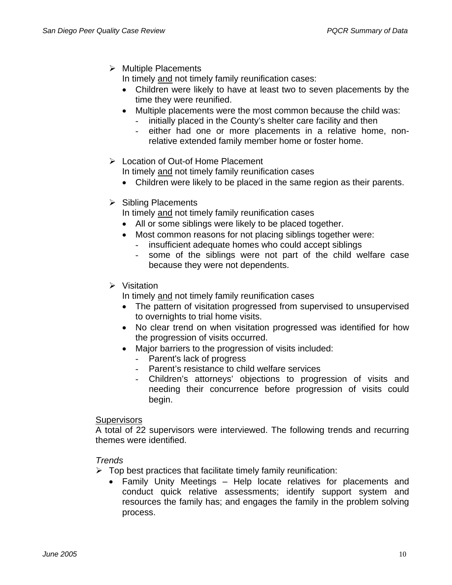$\triangleright$  Multiple Placements

In timely and not timely family reunification cases:

- Children were likely to have at least two to seven placements by the time they were reunified.
- Multiple placements were the most common because the child was: - initially placed in the County's shelter care facility and then
	- either had one or more placements in a relative home, nonrelative extended family member home or foster home.
- ¾ Location of Out-of Home Placement In timely and not timely family reunification cases
	- Children were likely to be placed in the same region as their parents.
- $\triangleright$  Sibling Placements

In timely and not timely family reunification cases

- All or some siblings were likely to be placed together.
- Most common reasons for not placing siblings together were:
	- insufficient adequate homes who could accept siblings
	- some of the siblings were not part of the child welfare case because they were not dependents.
- $\triangleright$  Visitation

In timely and not timely family reunification cases

- The pattern of visitation progressed from supervised to unsupervised to overnights to trial home visits.
- No clear trend on when visitation progressed was identified for how the progression of visits occurred.
- Major barriers to the progression of visits included:
	- Parent's lack of progress
	- Parent's resistance to child welfare services
	- Children's attorneys' objections to progression of visits and needing their concurrence before progression of visits could begin.

## **Supervisors**

A total of 22 supervisors were interviewed. The following trends and recurring themes were identified.

## *Trends*

- $\triangleright$  Top best practices that facilitate timely family reunification:
	- Family Unity Meetings Help locate relatives for placements and conduct quick relative assessments; identify support system and resources the family has; and engages the family in the problem solving process.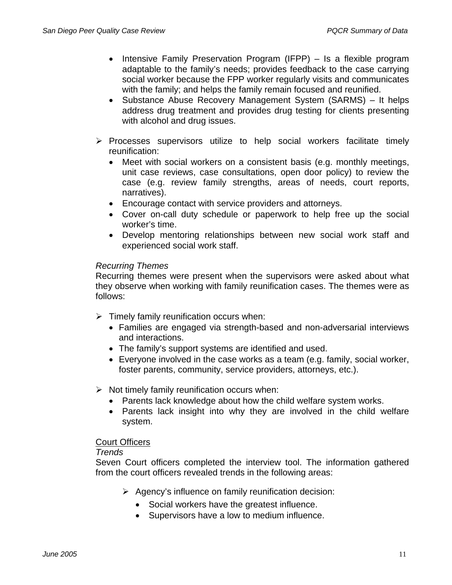- Intensive Family Preservation Program (IFPP) Is a flexible program adaptable to the family's needs; provides feedback to the case carrying social worker because the FPP worker regularly visits and communicates with the family; and helps the family remain focused and reunified.
- Substance Abuse Recovery Management System (SARMS) It helps address drug treatment and provides drug testing for clients presenting with alcohol and drug issues.
- $\triangleright$  Processes supervisors utilize to help social workers facilitate timely reunification:
	- Meet with social workers on a consistent basis (e.g. monthly meetings, unit case reviews, case consultations, open door policy) to review the case (e.g. review family strengths, areas of needs, court reports, narratives).
	- Encourage contact with service providers and attorneys.
	- Cover on-call duty schedule or paperwork to help free up the social worker's time.
	- Develop mentoring relationships between new social work staff and experienced social work staff.

## *Recurring Themes*

Recurring themes were present when the supervisors were asked about what they observe when working with family reunification cases. The themes were as follows:

- $\triangleright$  Timely family reunification occurs when:
	- Families are engaged via strength-based and non-adversarial interviews and interactions.
	- The family's support systems are identified and used.
	- Everyone involved in the case works as a team (e.g. family, social worker, foster parents, community, service providers, attorneys, etc.).
- $\triangleright$  Not timely family reunification occurs when:
	- Parents lack knowledge about how the child welfare system works.
	- Parents lack insight into why they are involved in the child welfare system.

## Court Officers

## *Trends*

Seven Court officers completed the interview tool. The information gathered from the court officers revealed trends in the following areas:

- $\triangleright$  Agency's influence on family reunification decision:
	- Social workers have the greatest influence.
	- Supervisors have a low to medium influence.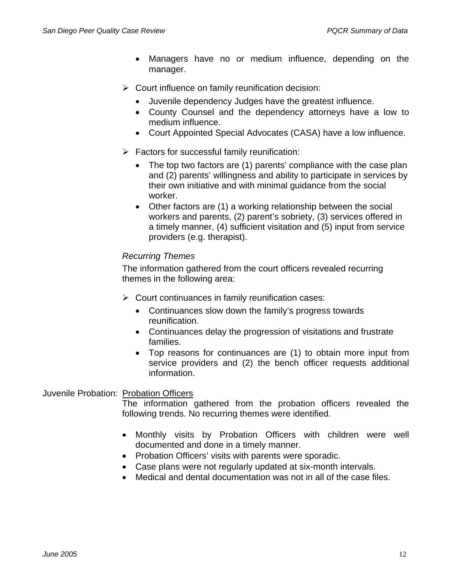- Managers have no or medium influence, depending on the manager.
- $\triangleright$  Court influence on family reunification decision:
	- Juvenile dependency Judges have the greatest influence.
	- County Counsel and the dependency attorneys have a low to medium influence.
	- Court Appointed Special Advocates (CASA) have a low influence.
- $\triangleright$  Factors for successful family reunification:
	- The top two factors are (1) parents' compliance with the case plan and (2) parents' willingness and ability to participate in services by their own initiative and with minimal guidance from the social worker.
	- Other factors are (1) a working relationship between the social workers and parents, (2) parent's sobriety, (3) services offered in a timely manner, (4) sufficient visitation and (5) input from service providers (e.g. therapist).

## *Recurring Themes*

The information gathered from the court officers revealed recurring themes in the following area:

- $\triangleright$  Court continuances in family reunification cases:
	- Continuances slow down the family's progress towards reunification.
	- Continuances delay the progression of visitations and frustrate families.
	- Top reasons for continuances are (1) to obtain more input from service providers and (2) the bench officer requests additional information.

# Juvenile Probation: Probation Officers

The information gathered from the probation officers revealed the following trends. No recurring themes were identified.

- Monthly visits by Probation Officers with children were well documented and done in a timely manner.
- Probation Officers' visits with parents were sporadic.
- Case plans were not regularly updated at six-month intervals.
- Medical and dental documentation was not in all of the case files.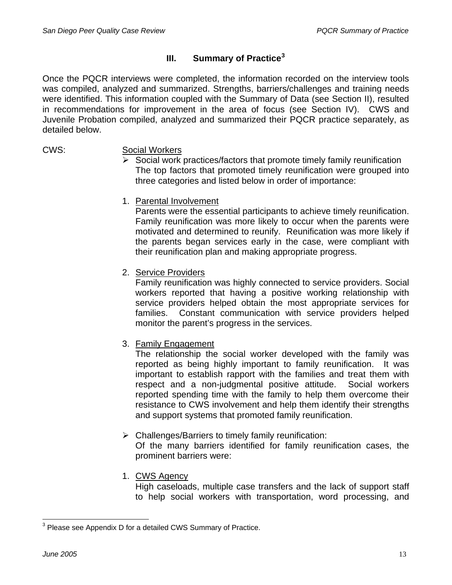# **III. Summary of Practice[3](#page-16-0)**

Once the PQCR interviews were completed, the information recorded on the interview tools was compiled, analyzed and summarized. Strengths, barriers/challenges and training needs were identified. This information coupled with the Summary of Data (see Section II), resulted in recommendations for improvement in the area of focus (see Section IV). CWS and Juvenile Probation compiled, analyzed and summarized their PQCR practice separately, as detailed below.

## CWS: Social Workers

- $\triangleright$  Social work practices/factors that promote timely family reunification The top factors that promoted timely reunification were grouped into three categories and listed below in order of importance:
- 1. Parental Involvement

Parents were the essential participants to achieve timely reunification. Family reunification was more likely to occur when the parents were motivated and determined to reunify. Reunification was more likely if the parents began services early in the case, were compliant with their reunification plan and making appropriate progress.

2. Service Providers

Family reunification was highly connected to service providers. Social workers reported that having a positive working relationship with service providers helped obtain the most appropriate services for families. Constant communication with service providers helped monitor the parent's progress in the services.

3. Family Engagement

The relationship the social worker developed with the family was reported as being highly important to family reunification. It was important to establish rapport with the families and treat them with respect and a non-judgmental positive attitude. Social workers reported spending time with the family to help them overcome their resistance to CWS involvement and help them identify their strengths and support systems that promoted family reunification.

 $\triangleright$  Challenges/Barriers to timely family reunification:

Of the many barriers identified for family reunification cases, the prominent barriers were:

1. CWS Agency

High caseloads, multiple case transfers and the lack of support staff to help social workers with transportation, word processing, and

l

<span id="page-16-0"></span> $3$  Please see Appendix D for a detailed CWS Summary of Practice.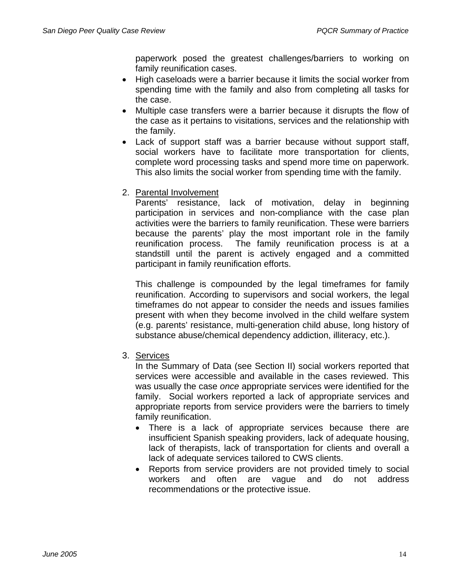paperwork posed the greatest challenges/barriers to working on family reunification cases.

- High caseloads were a barrier because it limits the social worker from spending time with the family and also from completing all tasks for the case.
- Multiple case transfers were a barrier because it disrupts the flow of the case as it pertains to visitations, services and the relationship with the family.
- Lack of support staff was a barrier because without support staff, social workers have to facilitate more transportation for clients, complete word processing tasks and spend more time on paperwork. This also limits the social worker from spending time with the family.
- 2. Parental Involvement

Parents' resistance, lack of motivation, delay in beginning participation in services and non-compliance with the case plan activities were the barriers to family reunification. These were barriers because the parents' play the most important role in the family reunification process. The family reunification process is at a standstill until the parent is actively engaged and a committed participant in family reunification efforts.

This challenge is compounded by the legal timeframes for family reunification. According to supervisors and social workers, the legal timeframes do not appear to consider the needs and issues families present with when they become involved in the child welfare system (e.g. parents' resistance, multi-generation child abuse, long history of substance abuse/chemical dependency addiction, illiteracy, etc.).

3. Services

In the Summary of Data (see Section II) social workers reported that services were accessible and available in the cases reviewed. This was usually the case *once* appropriate services were identified for the family. Social workers reported a lack of appropriate services and appropriate reports from service providers were the barriers to timely family reunification.

- There is a lack of appropriate services because there are insufficient Spanish speaking providers, lack of adequate housing, lack of therapists, lack of transportation for clients and overall a lack of adequate services tailored to CWS clients.
- Reports from service providers are not provided timely to social workers and often are vague and do not address recommendations or the protective issue.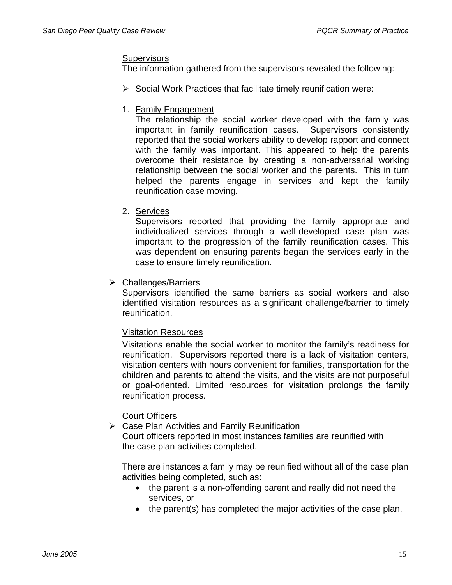## **Supervisors**

The information gathered from the supervisors revealed the following:

- $\triangleright$  Social Work Practices that facilitate timely reunification were:
- 1. Family Engagement

The relationship the social worker developed with the family was important in family reunification cases. Supervisors consistently reported that the social workers ability to develop rapport and connect with the family was important. This appeared to help the parents overcome their resistance by creating a non-adversarial working relationship between the social worker and the parents. This in turn helped the parents engage in services and kept the family reunification case moving.

2. Services

Supervisors reported that providing the family appropriate and individualized services through a well-developed case plan was important to the progression of the family reunification cases. This was dependent on ensuring parents began the services early in the case to ensure timely reunification.

 $\triangleright$  Challenges/Barriers

Supervisors identified the same barriers as social workers and also identified visitation resources as a significant challenge/barrier to timely reunification.

# Visitation Resources

Visitations enable the social worker to monitor the family's readiness for reunification. Supervisors reported there is a lack of visitation centers, visitation centers with hours convenient for families, transportation for the children and parents to attend the visits, and the visits are not purposeful or goal-oriented. Limited resources for visitation prolongs the family reunification process.

# Court Officers

 $\triangleright$  Case Plan Activities and Family Reunification Court officers reported in most instances families are reunified with the case plan activities completed.

 There are instances a family may be reunified without all of the case plan activities being completed, such as:

- the parent is a non-offending parent and really did not need the services, or
- the parent(s) has completed the major activities of the case plan.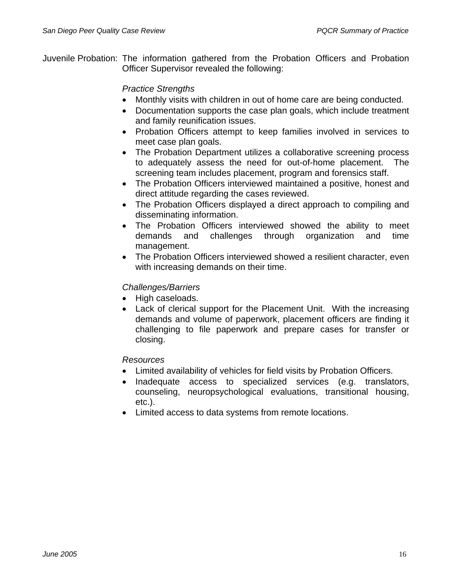Juvenile Probation: The information gathered from the Probation Officers and Probation Officer Supervisor revealed the following:

# *Practice Strengths*

- Monthly visits with children in out of home care are being conducted.
- Documentation supports the case plan goals, which include treatment and family reunification issues.
- Probation Officers attempt to keep families involved in services to meet case plan goals.
- The Probation Department utilizes a collaborative screening process to adequately assess the need for out-of-home placement. The screening team includes placement, program and forensics staff.
- The Probation Officers interviewed maintained a positive, honest and direct attitude regarding the cases reviewed.
- The Probation Officers displayed a direct approach to compiling and disseminating information.
- The Probation Officers interviewed showed the ability to meet demands and challenges through organization and time management.
- The Probation Officers interviewed showed a resilient character, even with increasing demands on their time.

# *Challenges/Barriers*

- High caseloads.
- Lack of clerical support for the Placement Unit. With the increasing demands and volume of paperwork, placement officers are finding it challenging to file paperwork and prepare cases for transfer or closing.

# *Resources*

- Limited availability of vehicles for field visits by Probation Officers.
- Inadequate access to specialized services (e.g. translators, counseling, neuropsychological evaluations, transitional housing, etc.).
- Limited access to data systems from remote locations.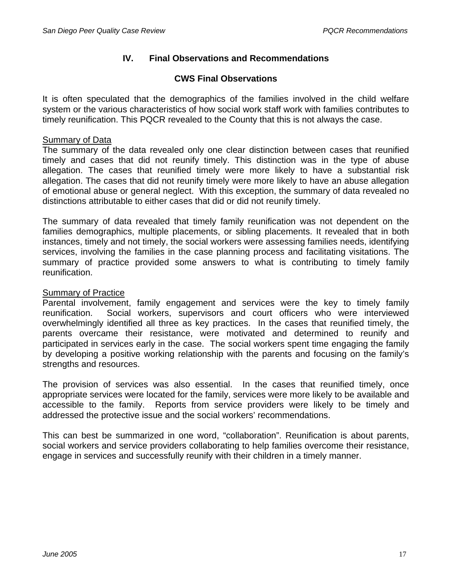# **IV. Final Observations and Recommendations**

# **CWS Final Observations**

It is often speculated that the demographics of the families involved in the child welfare system or the various characteristics of how social work staff work with families contributes to timely reunification. This PQCR revealed to the County that this is not always the case.

## Summary of Data

The summary of the data revealed only one clear distinction between cases that reunified timely and cases that did not reunify timely. This distinction was in the type of abuse allegation. The cases that reunified timely were more likely to have a substantial risk allegation. The cases that did not reunify timely were more likely to have an abuse allegation of emotional abuse or general neglect. With this exception, the summary of data revealed no distinctions attributable to either cases that did or did not reunify timely.

The summary of data revealed that timely family reunification was not dependent on the families demographics, multiple placements, or sibling placements. It revealed that in both instances, timely and not timely, the social workers were assessing families needs, identifying services, involving the families in the case planning process and facilitating visitations. The summary of practice provided some answers to what is contributing to timely family reunification.

## Summary of Practice

Parental involvement, family engagement and services were the key to timely family reunification. Social workers, supervisors and court officers who were interviewed overwhelmingly identified all three as key practices. In the cases that reunified timely, the parents overcame their resistance, were motivated and determined to reunify and participated in services early in the case. The social workers spent time engaging the family by developing a positive working relationship with the parents and focusing on the family's strengths and resources.

The provision of services was also essential. In the cases that reunified timely, once appropriate services were located for the family, services were more likely to be available and accessible to the family. Reports from service providers were likely to be timely and addressed the protective issue and the social workers' recommendations.

This can best be summarized in one word, "collaboration". Reunification is about parents, social workers and service providers collaborating to help families overcome their resistance, engage in services and successfully reunify with their children in a timely manner.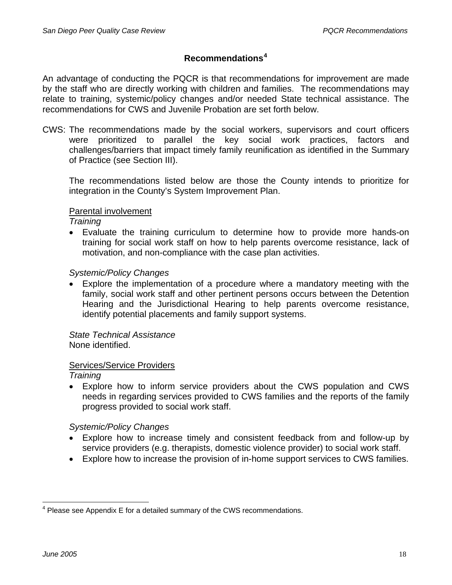# **Recommendations[4](#page-21-0)**

An advantage of conducting the PQCR is that recommendations for improvement are made by the staff who are directly working with children and families. The recommendations may relate to training, systemic/policy changes and/or needed State technical assistance. The recommendations for CWS and Juvenile Probation are set forth below.

CWS: The recommendations made by the social workers, supervisors and court officers were prioritized to parallel the key social work practices, factors and challenges/barriers that impact timely family reunification as identified in the Summary of Practice (see Section III).

The recommendations listed below are those the County intends to prioritize for integration in the County's System Improvement Plan.

## Parental involvement

*Training* 

• Evaluate the training curriculum to determine how to provide more hands-on training for social work staff on how to help parents overcome resistance, lack of motivation, and non-compliance with the case plan activities.

# *Systemic/Policy Changes*

• Explore the implementation of a procedure where a mandatory meeting with the family, social work staff and other pertinent persons occurs between the Detention Hearing and the Jurisdictional Hearing to help parents overcome resistance, identify potential placements and family support systems.

#### *State Technical Assistance*  None identified.

# Services/Service Providers

*Training* 

• Explore how to inform service providers about the CWS population and CWS needs in regarding services provided to CWS families and the reports of the family progress provided to social work staff.

*Systemic/Policy Changes* 

- Explore how to increase timely and consistent feedback from and follow-up by service providers (e.g. therapists, domestic violence provider) to social work staff.
- Explore how to increase the provision of in-home support services to CWS families.

<span id="page-21-0"></span>l  $4$  Please see Appendix E for a detailed summary of the CWS recommendations.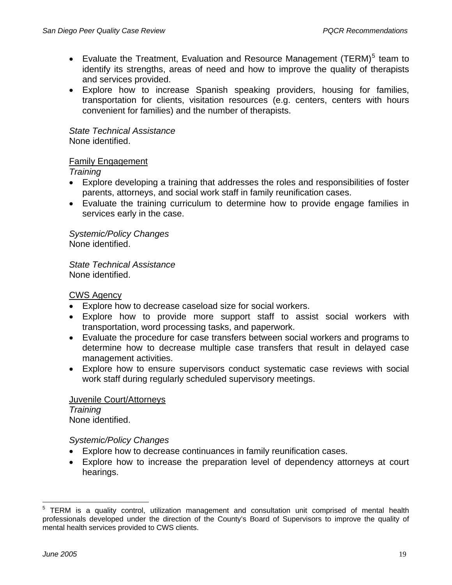- Evaluate the Treatment, Evaluation and Resource Management (TERM) $<sup>5</sup>$  $<sup>5</sup>$  $<sup>5</sup>$  team to</sup> identify its strengths, areas of need and how to improve the quality of therapists and services provided.
- Explore how to increase Spanish speaking providers, housing for families, transportation for clients, visitation resources (e.g. centers, centers with hours convenient for families) and the number of therapists.

 *State Technical Assistance*  None identified.

# Family Engagement

*Training* 

- Explore developing a training that addresses the roles and responsibilities of foster parents, attorneys, and social work staff in family reunification cases.
- Evaluate the training curriculum to determine how to provide engage families in services early in the case.

*Systemic/Policy Changes*  None identified.

 *State Technical Assistance*  None identified.

CWS Agency

- Explore how to decrease caseload size for social workers.
- Explore how to provide more support staff to assist social workers with transportation, word processing tasks, and paperwork.
- Evaluate the procedure for case transfers between social workers and programs to determine how to decrease multiple case transfers that result in delayed case management activities.
- Explore how to ensure supervisors conduct systematic case reviews with social work staff during regularly scheduled supervisory meetings.

 Juvenile Court/Attorneys *Training*  None identified.

*Systemic/Policy Changes* 

- Explore how to decrease continuances in family reunification cases.
- Explore how to increase the preparation level of dependency attorneys at court hearings.

<span id="page-22-0"></span>l <sup>5</sup> TERM is a quality control, utilization management and consultation unit comprised of mental health professionals developed under the direction of the County's Board of Supervisors to improve the quality of mental health services provided to CWS clients.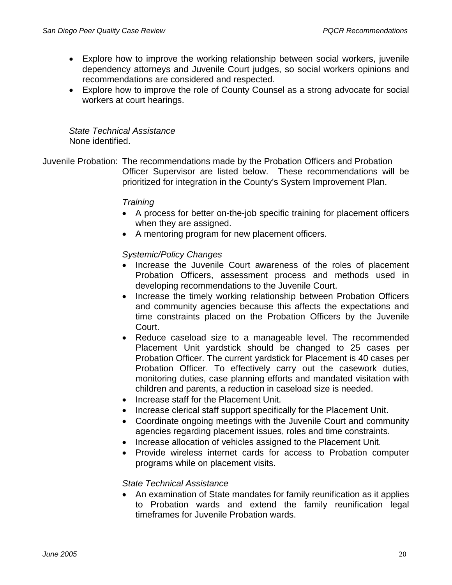- Explore how to improve the working relationship between social workers, juvenile dependency attorneys and Juvenile Court judges, so social workers opinions and recommendations are considered and respected.
- Explore how to improve the role of County Counsel as a strong advocate for social workers at court hearings.

*State Technical Assistance*  None identified.

Juvenile Probation: The recommendations made by the Probation Officers and Probation Officer Supervisor are listed below. These recommendations will be prioritized for integration in the County's System Improvement Plan.

## *Training*

- A process for better on-the-job specific training for placement officers when they are assigned.
- A mentoring program for new placement officers.

# *Systemic/Policy Changes*

- Increase the Juvenile Court awareness of the roles of placement Probation Officers, assessment process and methods used in developing recommendations to the Juvenile Court.
- Increase the timely working relationship between Probation Officers and community agencies because this affects the expectations and time constraints placed on the Probation Officers by the Juvenile Court.
- Reduce caseload size to a manageable level. The recommended Placement Unit yardstick should be changed to 25 cases per Probation Officer. The current yardstick for Placement is 40 cases per Probation Officer. To effectively carry out the casework duties, monitoring duties, case planning efforts and mandated visitation with children and parents, a reduction in caseload size is needed.
- Increase staff for the Placement Unit.
- Increase clerical staff support specifically for the Placement Unit.
- Coordinate ongoing meetings with the Juvenile Court and community agencies regarding placement issues, roles and time constraints.
- Increase allocation of vehicles assigned to the Placement Unit.
- Provide wireless internet cards for access to Probation computer programs while on placement visits.

# *State Technical Assistance*

• An examination of State mandates for family reunification as it applies to Probation wards and extend the family reunification legal timeframes for Juvenile Probation wards.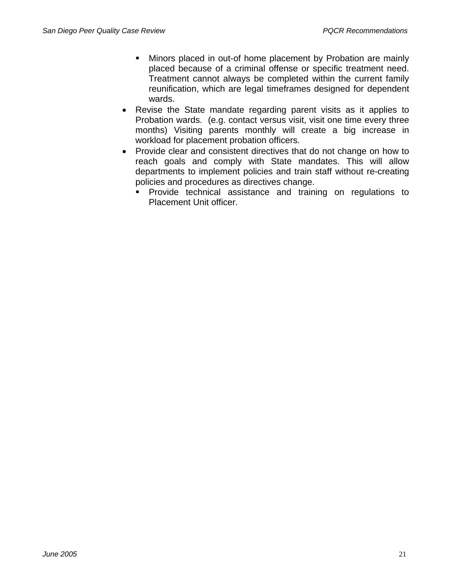- Minors placed in out-of home placement by Probation are mainly placed because of a criminal offense or specific treatment need. Treatment cannot always be completed within the current family reunification, which are legal timeframes designed for dependent wards.
- Revise the State mandate regarding parent visits as it applies to Probation wards. (e.g. contact versus visit, visit one time every three months) Visiting parents monthly will create a big increase in workload for placement probation officers.
- Provide clear and consistent directives that do not change on how to reach goals and comply with State mandates. This will allow departments to implement policies and train staff without re-creating policies and procedures as directives change.
	- **Provide technical assistance and training on regulations to** Placement Unit officer.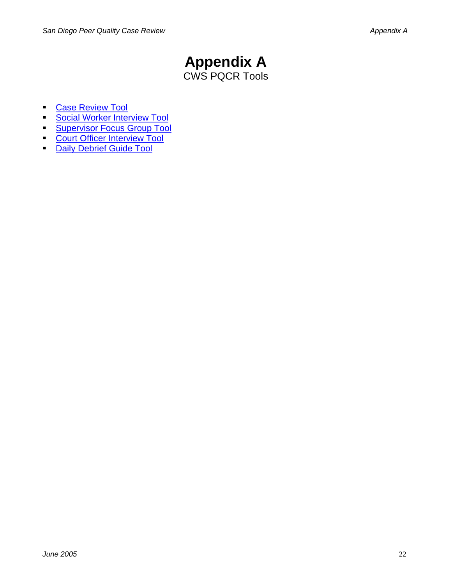# **Appendix A**  CWS PQCR Tools

- **Case Review Tool**
- [Social Worker Interview Tool](http://cosda122/cms/636-PIP/PQCR%20reports/SW%20tool%20appx%20a-2%2006-03-05.doc)
- **[Supervisor Focus Group Tool](http://cosda122/cms/636-PIP/PQCR%20reports/PSSs%20appx%20a-3%2006-03-05.doc)**
- **[Court Officer Interview Tool](http://cosda122/cms/636-PIP/PQCR%20reports/CO%20appx%20a-4%2006-03-05.doc)**
- [Daily Debrief Guide Tool](http://cosda122/cms/636-PIP/PQCR%20reports/Daily%20debrief%20appx%20a-5%2006-03-05.doc)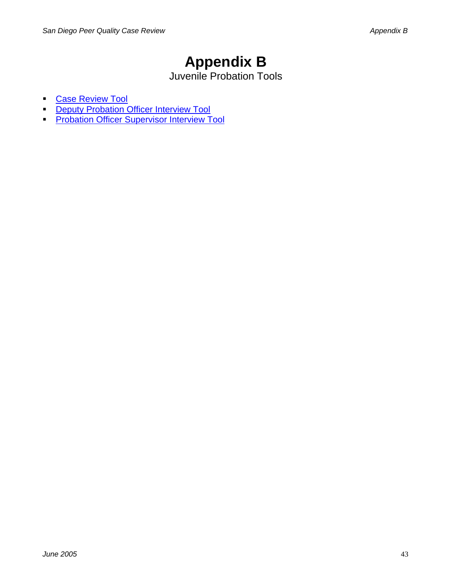# **Appendix B**

Juvenile Probation Tools

- [Case Review Tool](http://cosda122/cms/636-PIP/PQCR%20reports/Prob%20CRT%20appx%20b-1%2006-03-05.doc)
- **[Deputy Probation Officer Interview Tool](http://cosda122/cms/636-PIP/PQCR%20reports/Prob%20DPO%20tool%20appx%20b%20-2%20%2006-03-05.doc)**
- **[Probation Officer Supervisor Interview Tool](http://cosda122/cms/636-PIP/PQCR%20reports/Prob%20Sup%20tool%20appx%20b-3%2006-03-05.doc)**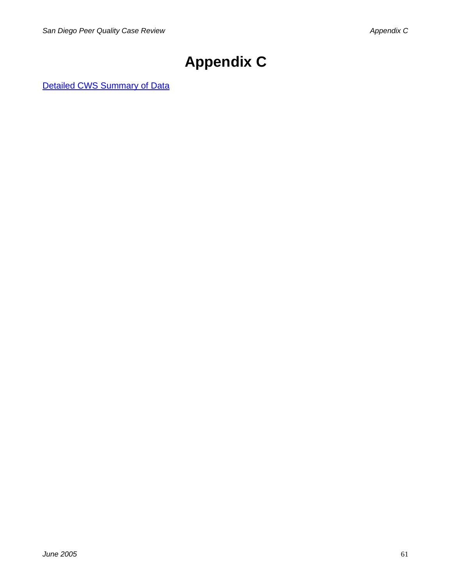# **Appendix C**

[Detailed CWS Summary of Data](http://cosda122/cms/636-PIP/PQCR reports/pqcr report appx c-d-e 06-03-05.doc#pqcrd)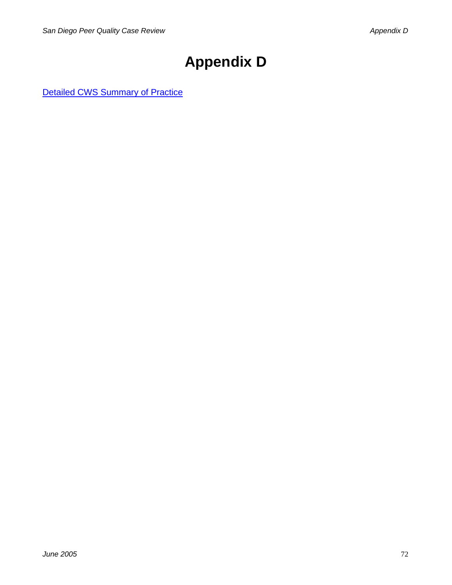# **Appendix D**

[Detailed CWS Summary of Practice](http://cosda122/cms/636-PIP/PQCR reports/pqcr report appx c-d-e 06-03-05.doc#pqcrp)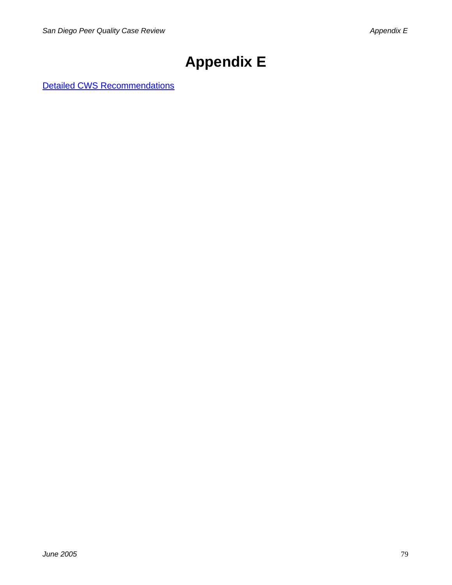# **Appendix E**

[Detailed CWS Recommendations](http://cosda122/cms/636-PIP/PQCR reports/pqcr report appx c-d-e 06-03-05.doc#pqcrr)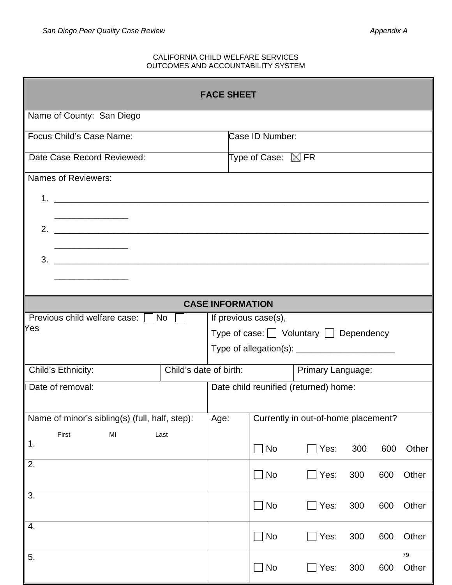#### CALIFORNIA CHILD WELFARE SERVICES OUTCOMES AND ACCOUNTABILITY SYSTEM

| <b>FACE SHEET</b>                                                                                                                                                                |                                       |                                  |                   |     |     |             |
|----------------------------------------------------------------------------------------------------------------------------------------------------------------------------------|---------------------------------------|----------------------------------|-------------------|-----|-----|-------------|
| Name of County: San Diego                                                                                                                                                        |                                       |                                  |                   |     |     |             |
| Focus Child's Case Name:                                                                                                                                                         |                                       | Case ID Number:                  |                   |     |     |             |
| Date Case Record Reviewed:                                                                                                                                                       |                                       | Type of Case: $\quadboxtimes$ FR |                   |     |     |             |
| Names of Reviewers:                                                                                                                                                              |                                       |                                  |                   |     |     |             |
| 1 <sub>1</sub><br><u> 1989 - Johann John Harry Hermann (f. 1989)</u>                                                                                                             |                                       |                                  |                   |     |     |             |
|                                                                                                                                                                                  |                                       |                                  |                   |     |     |             |
| 2.                                                                                                                                                                               |                                       |                                  |                   |     |     |             |
| 3.<br><u> 1980 - Johann Barn, mars and de British Barn, mars and de British Barn, mars and de British Barn, mars and de</u>                                                      |                                       |                                  |                   |     |     |             |
|                                                                                                                                                                                  |                                       |                                  |                   |     |     |             |
|                                                                                                                                                                                  |                                       | <b>CASE INFORMATION</b>          |                   |     |     |             |
|                                                                                                                                                                                  |                                       |                                  |                   |     |     |             |
| Previous child welfare case: $\Box$ No<br><b>Yes</b>                                                                                                                             |                                       | If previous case(s),             |                   |     |     |             |
| Type of case: $\Box$ Voluntary $\Box$ Dependency                                                                                                                                 |                                       |                                  |                   |     |     |             |
|                                                                                                                                                                                  |                                       |                                  |                   |     |     |             |
| Child's date of birth:<br>Child's Ethnicity:                                                                                                                                     |                                       |                                  | Primary Language: |     |     |             |
| Date of removal:                                                                                                                                                                 | Date child reunified (returned) home: |                                  |                   |     |     |             |
| Name of minor's sibling(s) (full, half, step):<br>Age:<br>Currently in out-of-home placement?                                                                                    |                                       |                                  |                   |     |     |             |
| First<br>$\mathsf{MI}% _{T}=\mathsf{M}_{T}\!\left( a,b\right) ,\ \mathsf{M}_{T}=\mathsf{M}_{T}\!\left( a,b\right) ,\ \mathsf{M}_{T}=\mathsf{M}_{T}\!\left( a,b\right) ,$<br>Last |                                       |                                  |                   |     |     |             |
| 1.                                                                                                                                                                               |                                       | $\Box$ No                        | Yes:              | 300 | 600 | Other       |
| $\overline{2}$ .                                                                                                                                                                 |                                       | $\Box$ No                        | Yes:              | 300 | 600 | Other       |
| $\overline{3}$ .                                                                                                                                                                 |                                       |                                  |                   |     |     |             |
|                                                                                                                                                                                  |                                       | $\Box$ No                        | Yes:              | 300 | 600 | Other       |
| 4.                                                                                                                                                                               |                                       | $\Box$ No                        | Yes:              | 300 | 600 | Other       |
| 5.                                                                                                                                                                               |                                       | $\Box$ No                        | Yes:              | 300 | 600 | 79<br>Other |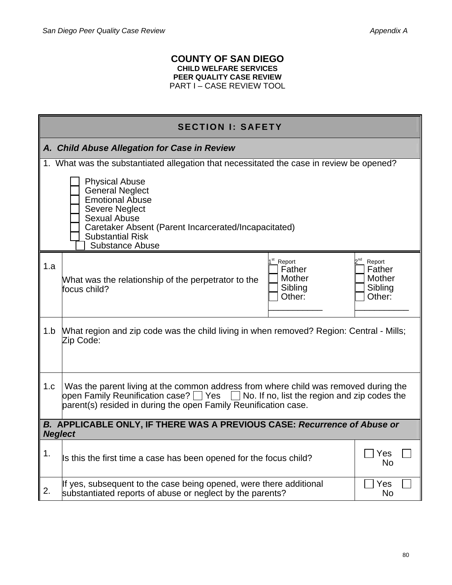## **COUNTY OF SAN DIEGO CHILD WELFARE SERVICES PEER QUALITY CASE REVIEW**  PART I – CASE REVIEW TOOL

|                                                                                            | <b>SECTION I: SAFETY</b>                                                                                                                                                                                                                                 |                                                                 |  |  |
|--------------------------------------------------------------------------------------------|----------------------------------------------------------------------------------------------------------------------------------------------------------------------------------------------------------------------------------------------------------|-----------------------------------------------------------------|--|--|
|                                                                                            | A. Child Abuse Allegation for Case in Review                                                                                                                                                                                                             |                                                                 |  |  |
|                                                                                            | 1. What was the substantiated allegation that necessitated the case in review be opened?                                                                                                                                                                 |                                                                 |  |  |
|                                                                                            | <b>Physical Abuse</b><br><b>General Neglect</b><br><b>Emotional Abuse</b><br><b>Severe Neglect</b><br><b>Sexual Abuse</b><br>Caretaker Absent (Parent Incarcerated/Incapacitated)<br><b>Substantial Risk</b><br><b>Substance Abuse</b>                   |                                                                 |  |  |
| 1.a                                                                                        | 1 <sup>st</sup> _Report<br>Father<br><b>Mother</b><br>What was the relationship of the perpetrator to the<br>Sibling<br>focus child?<br>Other:                                                                                                           | 2 <sup>nd</sup> Report<br>Father<br>Mother<br>Sibling<br>Other: |  |  |
| 1.b                                                                                        | What region and zip code was the child living in when removed? Region: Central - Mills;<br>Zip Code:                                                                                                                                                     |                                                                 |  |  |
| 1.c                                                                                        | Was the parent living at the common address from where child was removed during the<br>open Family Reunification case? $\Box$ Yes $\Box$ No. If no, list the region and zip codes the<br>parent(s) resided in during the open Family Reunification case. |                                                                 |  |  |
| B. APPLICABLE ONLY, IF THERE WAS A PREVIOUS CASE: Recurrence of Abuse or<br><b>Neglect</b> |                                                                                                                                                                                                                                                          |                                                                 |  |  |
| 1.                                                                                         | Is this the first time a case has been opened for the focus child?                                                                                                                                                                                       | Yes<br><b>No</b>                                                |  |  |
| 2.                                                                                         | If yes, subsequent to the case being opened, were there additional<br>substantiated reports of abuse or neglect by the parents?                                                                                                                          | Yes<br><b>No</b>                                                |  |  |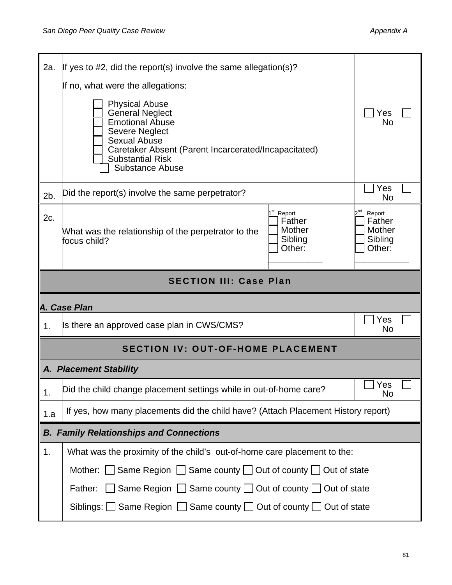| 2a.                           | If yes to #2, did the report(s) involve the same allegation(s)?                                                                                                                                                                        |                                                                           |  |  |
|-------------------------------|----------------------------------------------------------------------------------------------------------------------------------------------------------------------------------------------------------------------------------------|---------------------------------------------------------------------------|--|--|
|                               | If no, what were the allegations:                                                                                                                                                                                                      |                                                                           |  |  |
|                               | <b>Physical Abuse</b><br><b>General Neglect</b><br><b>Emotional Abuse</b><br><b>Severe Neglect</b><br><b>Sexual Abuse</b><br>Caretaker Absent (Parent Incarcerated/Incapacitated)<br><b>Substantial Risk</b><br><b>Substance Abuse</b> |                                                                           |  |  |
| 2b.                           | Did the report(s) involve the same perpetrator?                                                                                                                                                                                        | Yes<br>No                                                                 |  |  |
| 2c.                           | 1 <sup>st</sup> _Report<br>Father<br>Mother<br>What was the relationship of the perpetrator to the<br>Sibling<br>focus child?<br>Other:                                                                                                | 2 <sup>nd</sup><br>Report<br>Father<br><b>Mother</b><br>Sibling<br>Other: |  |  |
| <b>SECTION III: Case Plan</b> |                                                                                                                                                                                                                                        |                                                                           |  |  |
| A. Case Plan                  |                                                                                                                                                                                                                                        |                                                                           |  |  |
|                               |                                                                                                                                                                                                                                        |                                                                           |  |  |
| 1.                            | Is there an approved case plan in CWS/CMS?                                                                                                                                                                                             | Yes<br>No                                                                 |  |  |
|                               | <b>SECTION IV: OUT-OF-HOME PLACEMENT</b>                                                                                                                                                                                               |                                                                           |  |  |
|                               | <b>A. Placement Stability</b>                                                                                                                                                                                                          |                                                                           |  |  |
| 1.                            | Did the child change placement settings while in out-of-home care?                                                                                                                                                                     | $\rfloor$ Yes<br>No                                                       |  |  |
| 1.a                           | If yes, how many placements did the child have? (Attach Placement History report)                                                                                                                                                      |                                                                           |  |  |
|                               | <b>B. Family Relationships and Connections</b>                                                                                                                                                                                         |                                                                           |  |  |
| 1.                            | What was the proximity of the child's out-of-home care placement to the:                                                                                                                                                               |                                                                           |  |  |
|                               | Mother: $\Box$ Same Region $\Box$ Same county $\Box$ Out of county $\Box$ Out of state                                                                                                                                                 |                                                                           |  |  |
|                               | Same Region $\Box$ Same county $\Box$ Out of county $\Box$ Out of state<br>Father:                                                                                                                                                     |                                                                           |  |  |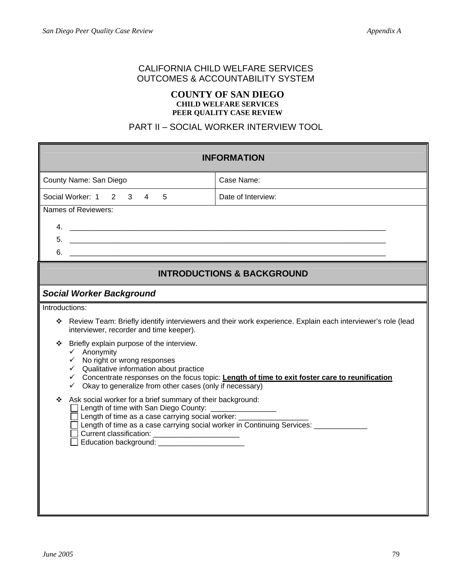# CALIFORNIA CHILD WELFARE SERVICES OUTCOMES & ACCOUNTABILITY SYSTEM

### **COUNTY OF SAN DIEGO CHILD WELFARE SERVICES PEER QUALITY CASE REVIEW**

# PART II – SOCIAL WORKER INTERVIEW TOOL

| <b>INFORMATION</b>                                                                                                                                                                                                                                                                                                                                        |                                                                                      |  |  |
|-----------------------------------------------------------------------------------------------------------------------------------------------------------------------------------------------------------------------------------------------------------------------------------------------------------------------------------------------------------|--------------------------------------------------------------------------------------|--|--|
| County Name: San Diego                                                                                                                                                                                                                                                                                                                                    | Case Name:                                                                           |  |  |
| Social Worker: 1 2<br>5<br>Date of Interview:<br>3 <sup>7</sup><br>$\overline{4}$                                                                                                                                                                                                                                                                         |                                                                                      |  |  |
| Names of Reviewers:                                                                                                                                                                                                                                                                                                                                       |                                                                                      |  |  |
|                                                                                                                                                                                                                                                                                                                                                           |                                                                                      |  |  |
|                                                                                                                                                                                                                                                                                                                                                           |                                                                                      |  |  |
|                                                                                                                                                                                                                                                                                                                                                           |                                                                                      |  |  |
|                                                                                                                                                                                                                                                                                                                                                           | <b>INTRODUCTIONS &amp; BACKGROUND</b>                                                |  |  |
| <b>Social Worker Background</b>                                                                                                                                                                                                                                                                                                                           |                                                                                      |  |  |
| Introductions:                                                                                                                                                                                                                                                                                                                                            |                                                                                      |  |  |
| Review Team: Briefly identify interviewers and their work experience. Explain each interviewer's role (lead<br>❖<br>interviewer, recorder and time keeper).                                                                                                                                                                                               |                                                                                      |  |  |
| Briefly explain purpose of the interview.<br>❖<br>$\checkmark$ Anonymity<br>$\checkmark$ No right or wrong responses<br>$\checkmark$ Qualitative information about practice<br>← Concentrate responses on the focus topic: Length of time to exit foster care to reunification<br>Okay to generalize from other cases (only if necessary)<br>$\checkmark$ |                                                                                      |  |  |
| Ask social worker for a brief summary of their background:<br>❖<br>Length of time with San Diego County:<br>Length of time as a case carrying social worker: ______<br>Current classification: ________________________<br>Education background: _______________________                                                                                  | Length of time as a case carrying social worker in Continuing Services: ____________ |  |  |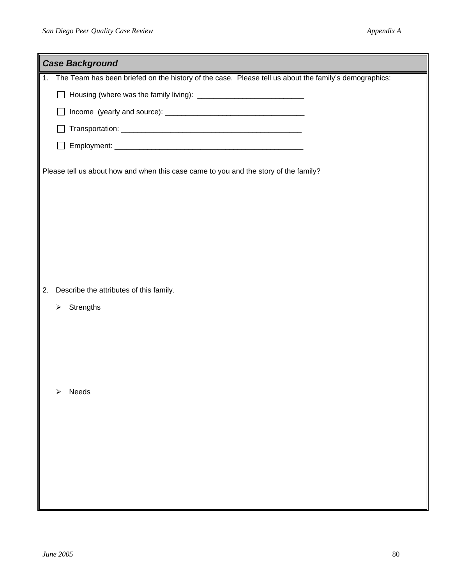| <b>Case Background</b>                                                                                   |
|----------------------------------------------------------------------------------------------------------|
| 1. The Team has been briefed on the history of the case. Please tell us about the family's demographics: |
| $\mathbb{R}^n$                                                                                           |
|                                                                                                          |
|                                                                                                          |
|                                                                                                          |
| Please tell us about how and when this case came to you and the story of the family?                     |
|                                                                                                          |
|                                                                                                          |
|                                                                                                          |
|                                                                                                          |
|                                                                                                          |
| Describe the attributes of this family.<br>2.                                                            |
| Strengths<br>➤                                                                                           |
|                                                                                                          |
|                                                                                                          |
|                                                                                                          |
|                                                                                                          |
| Needs<br>$\blacktriangleright$                                                                           |
|                                                                                                          |
|                                                                                                          |
|                                                                                                          |
|                                                                                                          |
|                                                                                                          |
|                                                                                                          |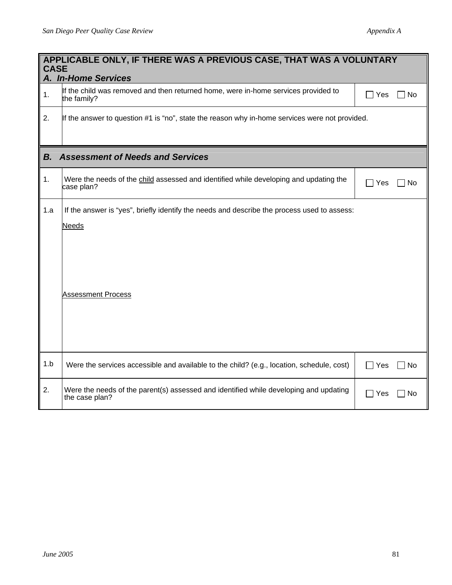|     | APPLICABLE ONLY, IF THERE WAS A PREVIOUS CASE, THAT WAS A VOLUNTARY<br><b>CASE</b><br>A. In-Home Services                                |                    |  |  |
|-----|------------------------------------------------------------------------------------------------------------------------------------------|--------------------|--|--|
| 1.  | If the child was removed and then returned home, were in-home services provided to<br>the family?                                        | $\Box$ Yes<br>No   |  |  |
| 2.  | If the answer to question #1 is "no", state the reason why in-home services were not provided.                                           |                    |  |  |
| В.  | <b>Assessment of Needs and Services</b>                                                                                                  |                    |  |  |
| 1.  | Were the needs of the child assessed and identified while developing and updating the<br>case plan?                                      | $\Box$ Yes<br>∏No  |  |  |
| 1.a | If the answer is "yes", briefly identify the needs and describe the process used to assess:<br><b>Needs</b><br><b>Assessment Process</b> |                    |  |  |
| 1.b | Were the services accessible and available to the child? (e.g., location, schedule, cost)                                                | $\Box$ Yes<br>∏ No |  |  |
| 2.  | Were the needs of the parent(s) assessed and identified while developing and updating<br>the case plan?                                  | $\Box$ Yes<br>l No |  |  |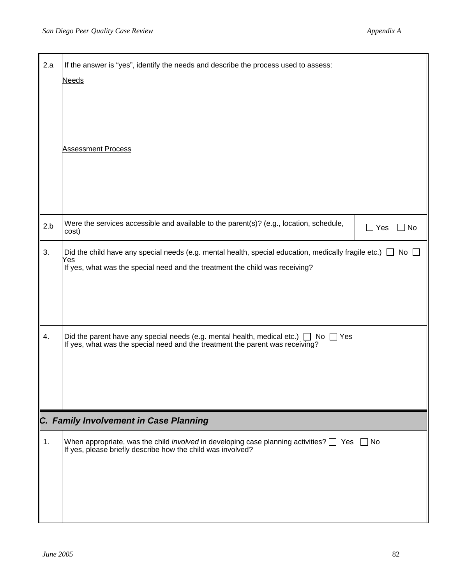| 2.a | If the answer is "yes", identify the needs and describe the process used to assess:<br><b>Needs</b><br><b>Assessment Process</b>                                                                      |                  |
|-----|-------------------------------------------------------------------------------------------------------------------------------------------------------------------------------------------------------|------------------|
| 2.b | Were the services accessible and available to the parent(s)? (e.g., location, schedule,<br>cost)                                                                                                      | $\Box$ Yes<br>No |
| 3.  | Did the child have any special needs (e.g. mental health, special education, medically fragile etc.) $\Box$ No<br>Yes<br>If yes, what was the special need and the treatment the child was receiving? |                  |
| 4.  | Did the parent have any special needs (e.g. mental health, medical etc.) $\Box$ No [If yes, what was the special need and the treatment the parent was receiving?<br>∐ Yes                            |                  |
|     | C. Family Involvement in Case Planning                                                                                                                                                                |                  |
| 1.  | When appropriate, was the child <i>involved</i> in developing case planning activities? $\Box$ Yes $\Box$ No<br>If yes, please briefly describe how the child was involved?                           |                  |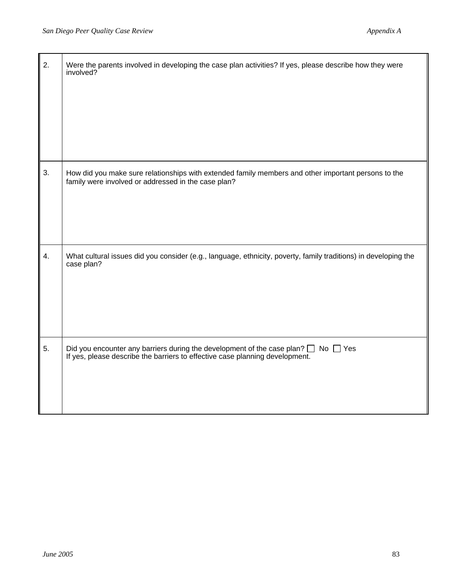| 2. | Were the parents involved in developing the case plan activities? If yes, please describe how they were<br>involved?                                                      |
|----|---------------------------------------------------------------------------------------------------------------------------------------------------------------------------|
| 3. | How did you make sure relationships with extended family members and other important persons to the<br>family were involved or addressed in the case plan?                |
| 4. | What cultural issues did you consider (e.g., language, ethnicity, poverty, family traditions) in developing the<br>case plan?                                             |
| 5. | Did you encounter any barriers during the development of the case plan? $\Box$ No $\Box$ Yes If yes, please describe the barriers to effective case planning development. |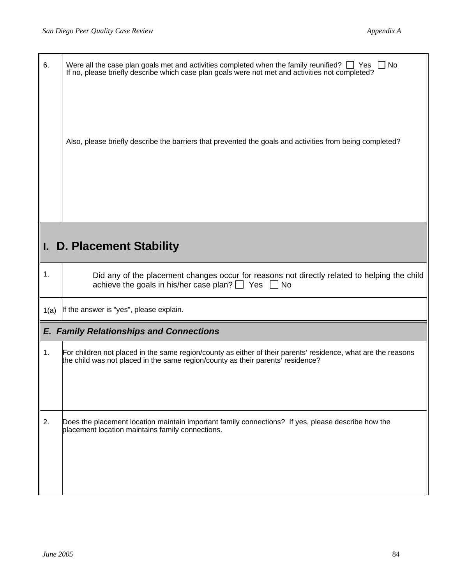| 6.   | Were all the case plan goals met and activities completed when the family reunified? $\Box$ Yes $\Box$ No<br>If no, please briefly describe which case plan goals were not met and activities not completed?<br>Also, please briefly describe the barriers that prevented the goals and activities from being completed? |
|------|--------------------------------------------------------------------------------------------------------------------------------------------------------------------------------------------------------------------------------------------------------------------------------------------------------------------------|
|      | I. D. Placement Stability                                                                                                                                                                                                                                                                                                |
| 1.   | Did any of the placement changes occur for reasons not directly related to helping the child<br>achieve the goals in his/her case plan? $\Box$ Yes<br><b>No</b>                                                                                                                                                          |
| 1(a) | If the answer is "yes", please explain.                                                                                                                                                                                                                                                                                  |
|      | <b>E. Family Relationships and Connections</b>                                                                                                                                                                                                                                                                           |
| 1.   | For children not placed in the same region/county as either of their parents' residence, what are the reasons<br>the child was not placed in the same region/county as their parents' residence?                                                                                                                         |
| 2.   | Does the placement location maintain important family connections? If yes, please describe how the<br>placement location maintains family connections.                                                                                                                                                                   |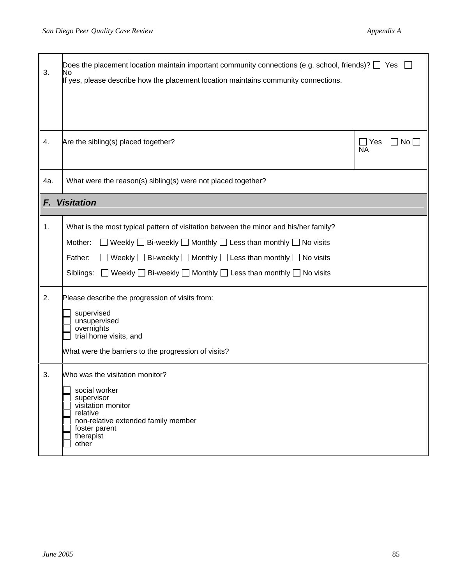| 3.  | Does the placement location maintain important community connections (e.g. school, friends)? $\square$ Yes<br>No<br>If yes, please describe how the placement location maintains community connections.                                                                                                                                                                                    |                         |
|-----|--------------------------------------------------------------------------------------------------------------------------------------------------------------------------------------------------------------------------------------------------------------------------------------------------------------------------------------------------------------------------------------------|-------------------------|
| 4.  | Are the sibling(s) placed together?                                                                                                                                                                                                                                                                                                                                                        | Nol<br>Yes<br><b>NA</b> |
| 4a. | What were the reason(s) sibling(s) were not placed together?                                                                                                                                                                                                                                                                                                                               |                         |
| F.  | <b>Visitation</b>                                                                                                                                                                                                                                                                                                                                                                          |                         |
| 1.  | What is the most typical pattern of visitation between the minor and his/her family?<br>Weekly $\Box$ Bi-weekly $\Box$ Monthly $\Box$ Less than monthly $\Box$ No visits<br>Mother:<br>Weekly $\Box$ Bi-weekly $\Box$ Monthly $\Box$ Less than monthly $\Box$ No visits<br>Father:<br>$\Box$ Weekly $\Box$ Bi-weekly $\Box$ Monthly $\Box$ Less than monthly $\Box$ No visits<br>Siblings: |                         |
| 2.  | Please describe the progression of visits from:<br>supervised<br>unsupervised<br>overnights<br>trial home visits, and<br>What were the barriers to the progression of visits?                                                                                                                                                                                                              |                         |
| 3.  | Who was the visitation monitor?<br>social worker<br>supervisor<br>visitation monitor<br>relative<br>non-relative extended family member<br>foster parent<br>therapist<br>other                                                                                                                                                                                                             |                         |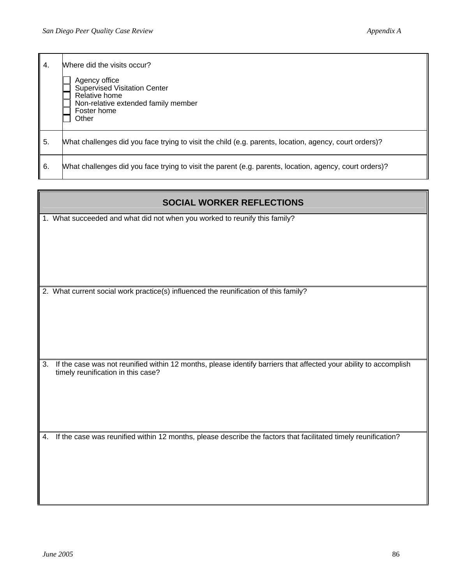| 4. | Where did the visits occur?<br>Agency office<br><b>Supervised Visitation Center</b><br>Relative home<br>Non-relative extended family member<br>Foster home<br>Other |
|----|---------------------------------------------------------------------------------------------------------------------------------------------------------------------|
| 5. | What challenges did you face trying to visit the child (e.g. parents, location, agency, court orders)?                                                              |
| 6. | What challenges did you face trying to visit the parent (e.g. parents, location, agency, court orders)?                                                             |

| <b>SOCIAL WORKER REFLECTIONS</b>                                                                                                                              |
|---------------------------------------------------------------------------------------------------------------------------------------------------------------|
| 1. What succeeded and what did not when you worked to reunify this family?                                                                                    |
| 2. What current social work practice(s) influenced the reunification of this family?                                                                          |
| If the case was not reunified within 12 months, please identify barriers that affected your ability to accomplish<br>3.<br>timely reunification in this case? |
| If the case was reunified within 12 months, please describe the factors that facilitated timely reunification?<br>4.                                          |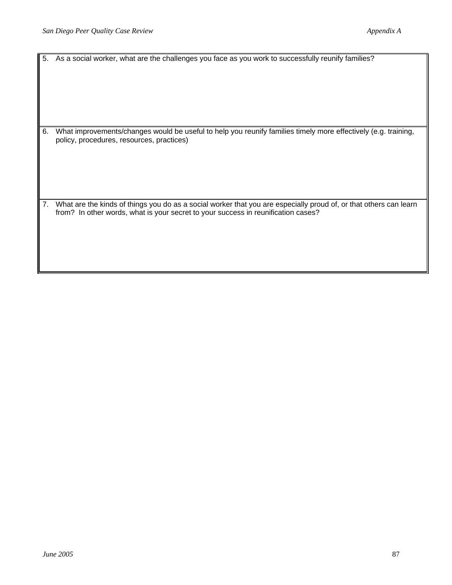|    | 5. As a social worker, what are the challenges you face as you work to successfully reunify families?                                                                                                  |
|----|--------------------------------------------------------------------------------------------------------------------------------------------------------------------------------------------------------|
| 6. | What improvements/changes would be useful to help you reunify families timely more effectively (e.g. training,<br>policy, procedures, resources, practices)                                            |
| 7. | What are the kinds of things you do as a social worker that you are especially proud of, or that others can learn<br>from? In other words, what is your secret to your success in reunification cases? |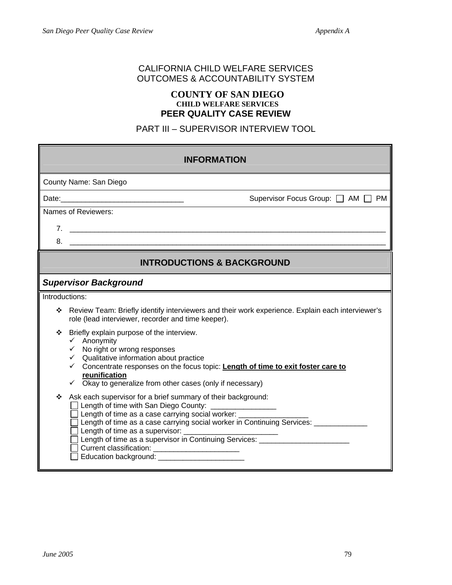# CALIFORNIA CHILD WELFARE SERVICES OUTCOMES & ACCOUNTABILITY SYSTEM

#### **COUNTY OF SAN DIEGO CHILD WELFARE SERVICES PEER QUALITY CASE REVIEW**

PART III – SUPERVISOR INTERVIEW TOOL

| <b>INFORMATION</b>                                                                                                                                                                                                                                                                                                                                                                                                                                      |
|---------------------------------------------------------------------------------------------------------------------------------------------------------------------------------------------------------------------------------------------------------------------------------------------------------------------------------------------------------------------------------------------------------------------------------------------------------|
| County Name: San Diego                                                                                                                                                                                                                                                                                                                                                                                                                                  |
| Supervisor Focus Group: □ AM □ PM                                                                                                                                                                                                                                                                                                                                                                                                                       |
| Names of Reviewers:                                                                                                                                                                                                                                                                                                                                                                                                                                     |
|                                                                                                                                                                                                                                                                                                                                                                                                                                                         |
| $8.$ $\overline{\phantom{a}}$                                                                                                                                                                                                                                                                                                                                                                                                                           |
| <b>INTRODUCTIONS &amp; BACKGROUND</b>                                                                                                                                                                                                                                                                                                                                                                                                                   |
| <b>Supervisor Background</b>                                                                                                                                                                                                                                                                                                                                                                                                                            |
| Introductions:                                                                                                                                                                                                                                                                                                                                                                                                                                          |
| Review Team: Briefly identify interviewers and their work experience. Explain each interviewer's<br>❖<br>role (lead interviewer, recorder and time keeper).                                                                                                                                                                                                                                                                                             |
| Briefly explain purpose of the interview.<br>❖<br>$\checkmark$ Anonymity<br>$\checkmark$ No right or wrong responses<br>$\checkmark$ Qualitative information about practice<br>$\checkmark$ Concentrate responses on the focus topic: Length of time to exit foster care to<br>reunification<br>$\checkmark$ Okay to generalize from other cases (only if necessary)                                                                                    |
| Ask each supervisor for a brief summary of their background:<br>❖<br>Length of time with San Diego County: ________________<br>Length of time as a case carrying social worker:<br>Length of time as a case carrying social worker in Continuing Services: _<br>Length of time as a supervisor in Continuing Services: _________________________<br>Current classification: _________________________<br>Education background: ________________________ |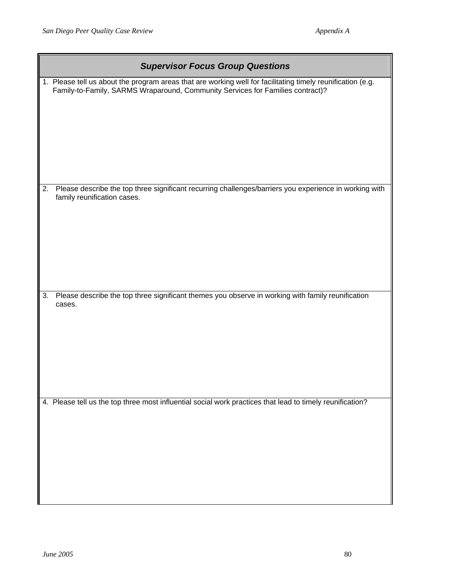| <b>Supervisor Focus Group Questions</b>                                                                                                                                                       |
|-----------------------------------------------------------------------------------------------------------------------------------------------------------------------------------------------|
| 1. Please tell us about the program areas that are working well for facilitating timely reunification (e.g.<br>Family-to-Family, SARMS Wraparound, Community Services for Families contract)? |
| Please describe the top three significant recurring challenges/barriers you experience in working with<br>2.<br>family reunification cases.                                                   |
| Please describe the top three significant themes you observe in working with family reunification<br>3.<br>cases.                                                                             |
| 4. Please tell us the top three most influential social work practices that lead to timely reunification?                                                                                     |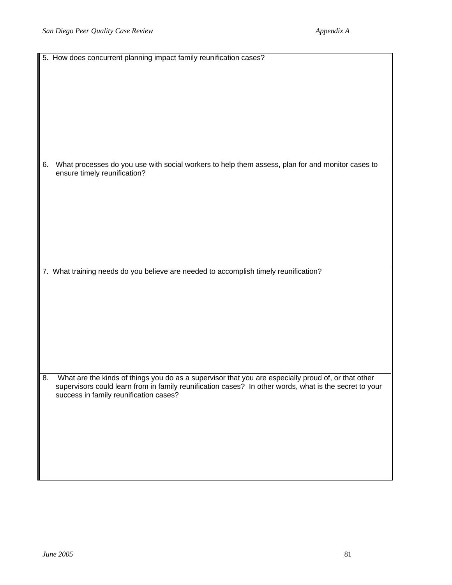|    | 5. How does concurrent planning impact family reunification cases?                                                                                                                                                                                      |
|----|---------------------------------------------------------------------------------------------------------------------------------------------------------------------------------------------------------------------------------------------------------|
|    |                                                                                                                                                                                                                                                         |
| 6. | What processes do you use with social workers to help them assess, plan for and monitor cases to<br>ensure timely reunification?                                                                                                                        |
|    | 7. What training needs do you believe are needed to accomplish timely reunification?                                                                                                                                                                    |
| 8. | What are the kinds of things you do as a supervisor that you are especially proud of, or that other<br>supervisors could learn from in family reunification cases? In other words, what is the secret to your<br>success in family reunification cases? |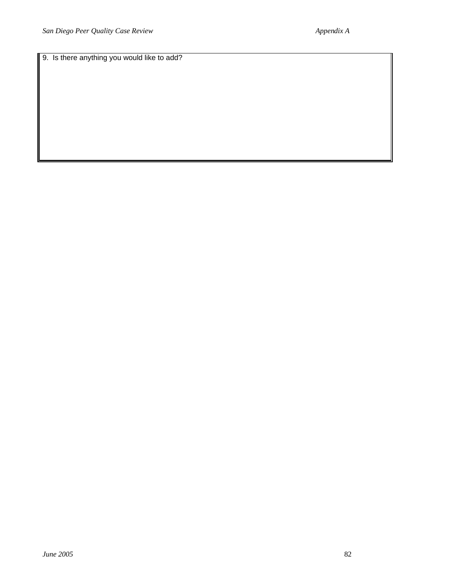9. Is there anything you would like to add?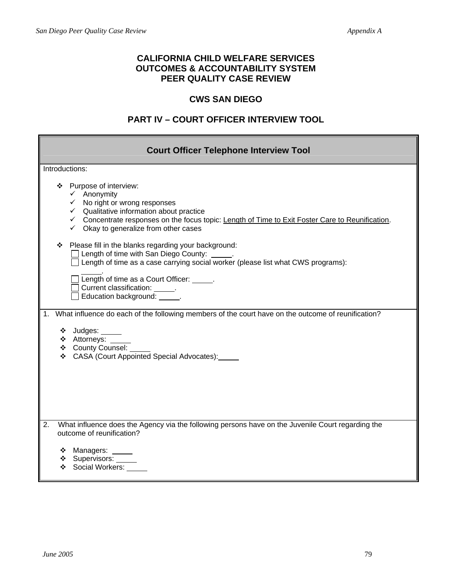г

 $\blacksquare$ 

# **CALIFORNIA CHILD WELFARE SERVICES OUTCOMES & ACCOUNTABILITY SYSTEM PEER QUALITY CASE REVIEW**

## **CWS SAN DIEGO**

# **PART IV – COURT OFFICER INTERVIEW TOOL**

| <b>Court Officer Telephone Interview Tool</b>                                                                                                                                                                                                                                                                         |
|-----------------------------------------------------------------------------------------------------------------------------------------------------------------------------------------------------------------------------------------------------------------------------------------------------------------------|
| Introductions:                                                                                                                                                                                                                                                                                                        |
| Purpose of interview:<br>❖<br>$\checkmark$ Anonymity<br>$\checkmark$ No right or wrong responses<br>$\checkmark$ Qualitative information about practice<br>← Concentrate responses on the focus topic: Length of Time to Exit Foster Care to Reunification.<br>$\checkmark$ Okay to generalize from other cases       |
| Please fill in the blanks regarding your background:<br>❖<br>$\Box$ Length of time with San Diego County:<br>$\Box$ Length of time as a case carrying social worker (please list what CWS programs):<br>Length of time as a Court Officer: _____.<br>Current classification: ______.<br>Education background: ______. |
| 1. What influence do each of the following members of the court have on the outcome of reunification?<br>❖ Judges: _____<br>$\div$ Attorneys:<br>❖ County Counsel:<br>❖ CASA (Court Appointed Special Advocates):                                                                                                     |
| What influence does the Agency via the following persons have on the Juvenile Court regarding the<br>2.<br>outcome of reunification?<br>❖ Managers: _____<br>❖ Supervisors: _____<br>❖ Social Workers:                                                                                                                |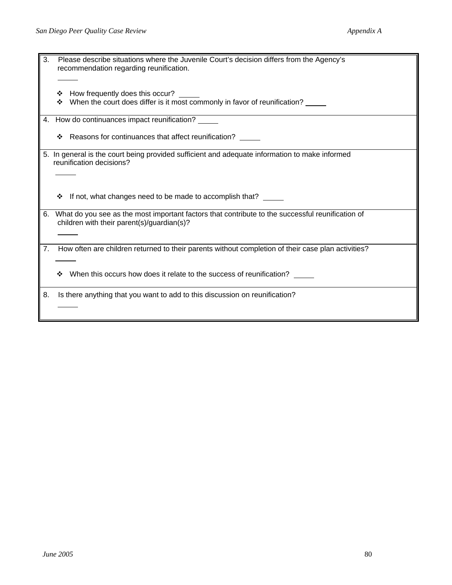| 3. |   | Please describe situations where the Juvenile Court's decision differs from the Agency's<br>recommendation regarding reunification.               |
|----|---|---------------------------------------------------------------------------------------------------------------------------------------------------|
|    | ❖ | How frequently does this occur?<br>When the court does differ is it most commonly in favor of reunification? _____                                |
|    |   | 4. How do continuances impact reunification?                                                                                                      |
|    | ❖ | Reasons for continuances that affect reunification?                                                                                               |
|    |   | 5. In general is the court being provided sufficient and adequate information to make informed<br>reunification decisions?                        |
|    | ❖ | If not, what changes need to be made to accomplish that?                                                                                          |
|    |   | 6. What do you see as the most important factors that contribute to the successful reunification of<br>children with their parent(s)/guardian(s)? |
| 7. |   | How often are children returned to their parents without completion of their case plan activities?                                                |
|    | ❖ | When this occurs how does it relate to the success of reunification?                                                                              |
| 8. |   | Is there anything that you want to add to this discussion on reunification?                                                                       |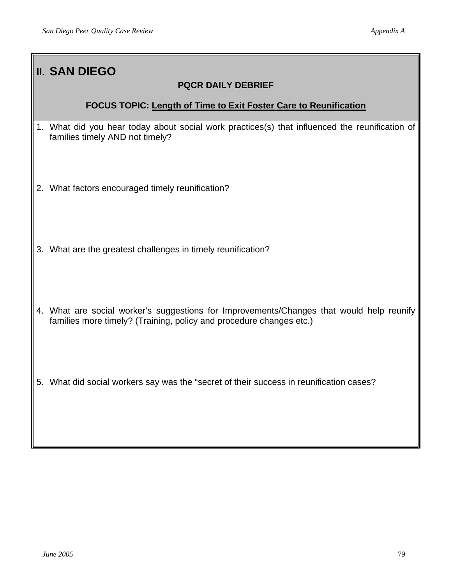| <b>II. SAN DIEGO</b><br><b>PQCR DAILY DEBRIEF</b>                                                                                                               |
|-----------------------------------------------------------------------------------------------------------------------------------------------------------------|
| <b>FOCUS TOPIC: Length of Time to Exit Foster Care to Reunification</b>                                                                                         |
| 1. What did you hear today about social work practices(s) that influenced the reunification of<br>families timely AND not timely?                               |
| 2. What factors encouraged timely reunification?                                                                                                                |
| 3. What are the greatest challenges in timely reunification?                                                                                                    |
| 4. What are social worker's suggestions for Improvements/Changes that would help reunify<br>families more timely? (Training, policy and procedure changes etc.) |
| 5. What did social workers say was the "secret of their success in reunification cases?                                                                         |

 $\mathsf{l}$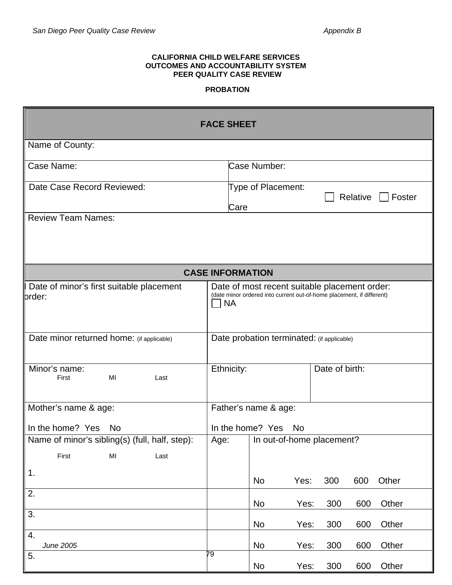#### **CALIFORNIA CHILD WELFARE SERVICES OUTCOMES AND ACCOUNTABILITY SYSTEM PEER QUALITY CASE REVIEW**

#### **PROBATION**

|                                                                                   |                                            | <b>FACE SHEET</b>       |                      |      |                                                                                                                        |          |        |
|-----------------------------------------------------------------------------------|--------------------------------------------|-------------------------|----------------------|------|------------------------------------------------------------------------------------------------------------------------|----------|--------|
| Name of County:                                                                   |                                            |                         |                      |      |                                                                                                                        |          |        |
| Case Name:                                                                        |                                            |                         | Case Number:         |      |                                                                                                                        |          |        |
| Date Case Record Reviewed:                                                        |                                            | Care                    | Type of Placement:   |      |                                                                                                                        | Relative | Foster |
| <b>Review Team Names:</b>                                                         |                                            |                         |                      |      |                                                                                                                        |          |        |
|                                                                                   |                                            | <b>CASE INFORMATION</b> |                      |      |                                                                                                                        |          |        |
| Date of minor's first suitable placement<br>order:                                |                                            | <b>NA</b>               |                      |      | Date of most recent suitable placement order:<br>(date minor ordered into current out-of-home placement, if different) |          |        |
| Date minor returned home: (if applicable)                                         | Date probation terminated: (if applicable) |                         |                      |      |                                                                                                                        |          |        |
| Minor's name:<br>MI<br>First<br>Last                                              |                                            | Ethnicity:              |                      |      | Date of birth:                                                                                                         |          |        |
| Mother's name & age:                                                              |                                            |                         | Father's name & age: |      |                                                                                                                        |          |        |
| In the home? Yes No                                                               |                                            |                         | In the home? Yes No  |      |                                                                                                                        |          |        |
| Name of minor's sibling(s) (full, half, step):<br>First<br>M <sub>l</sub><br>Last | Age:                                       |                         |                      |      | In out-of-home placement?                                                                                              |          |        |
| $\vert$ 1.                                                                        |                                            |                         | No                   | Yes: | 300                                                                                                                    | 600      | Other  |
| 2.                                                                                |                                            |                         | <b>No</b>            | Yes: | 300                                                                                                                    | 600      | Other  |
| 3.                                                                                |                                            |                         | <b>No</b>            | Yes: | 300                                                                                                                    | 600      | Other  |
| 4.<br>June 2005                                                                   |                                            |                         | <b>No</b>            | Yes: | 300                                                                                                                    | 600      | Other  |
| 5.                                                                                | 79                                         |                         | No                   | Yes: | 300                                                                                                                    | 600      | Other  |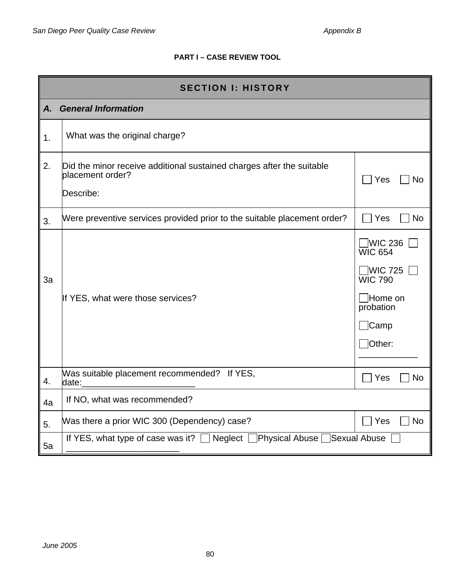# **PART I – CASE REVIEW TOOL**

|    | <b>SECTION I: HISTORY</b>                                                                              |                                                                                                                 |  |  |  |
|----|--------------------------------------------------------------------------------------------------------|-----------------------------------------------------------------------------------------------------------------|--|--|--|
| A. | <b>General Information</b>                                                                             |                                                                                                                 |  |  |  |
| 1. | What was the original charge?                                                                          |                                                                                                                 |  |  |  |
| 2. | Did the minor receive additional sustained charges after the suitable<br>placement order?<br>Describe: | Yes<br>No                                                                                                       |  |  |  |
| 3. | Were preventive services provided prior to the suitable placement order?                               | Yes<br>No                                                                                                       |  |  |  |
| 3a | If YES, what were those services?                                                                      | WIC 236<br><b>WIC 654</b><br><b>WIC 725</b><br><b>WIC 790</b><br><b>Home on</b><br>probation<br>∫Camp<br>Other: |  |  |  |
| 4. | Was suitable placement recommended? If YES,<br>date:                                                   | Yes<br>No                                                                                                       |  |  |  |
| 4a | If NO, what was recommended?                                                                           |                                                                                                                 |  |  |  |
| 5. | Was there a prior WIC 300 (Dependency) case?                                                           | $\exists$ Yes<br><b>No</b>                                                                                      |  |  |  |
| 5a | If YES, what type of case was it? $\Box$ Neglect $\Box$ Physical Abuse $\Box$                          | Sexual Abuse                                                                                                    |  |  |  |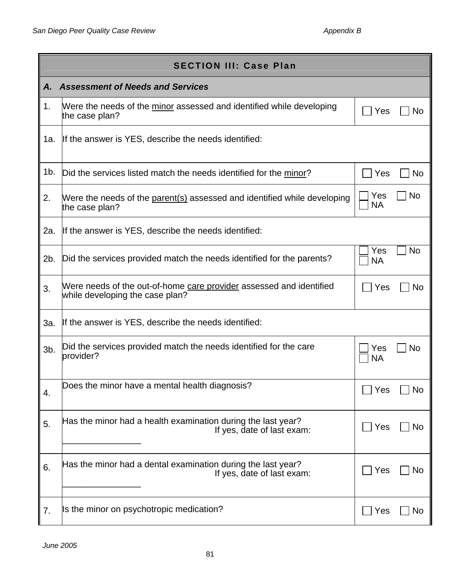|        | <b>SECTION III: Case Plan</b>                                                                          |                               |  |  |  |
|--------|--------------------------------------------------------------------------------------------------------|-------------------------------|--|--|--|
| Α.     | <b>Assessment of Needs and Services</b>                                                                |                               |  |  |  |
| 1.     | Were the needs of the minor assessed and identified while developing<br>the case plan?                 | Yes<br>No                     |  |  |  |
| 1a.    | If the answer is YES, describe the needs identified:                                                   |                               |  |  |  |
| 1b.    | Did the services listed match the needs identified for the minor?                                      | Yes<br>No                     |  |  |  |
| 2.     | Were the needs of the parent(s) assessed and identified while developing<br>the case plan?             | <b>No</b><br>Yes<br><b>NA</b> |  |  |  |
| 2a.    | If the answer is YES, describe the needs identified:                                                   |                               |  |  |  |
| 2b.    | Did the services provided match the needs identified for the parents?                                  | <b>No</b><br>Yes<br><b>NA</b> |  |  |  |
| 3.     | Were needs of the out-of-home care provider assessed and identified<br>while developing the case plan? | Yes<br>No                     |  |  |  |
| 3a.    | If the answer is YES, describe the needs identified:                                                   |                               |  |  |  |
| $3b$ . | Did the services provided match the needs identified for the care<br>provider?                         | Yes<br>No<br><b>NA</b>        |  |  |  |
| 4.     | Does the minor have a mental health diagnosis?                                                         | No<br>Yes                     |  |  |  |
| 5.     | Has the minor had a health examination during the last year?<br>If yes, date of last exam:             | Yes<br>No                     |  |  |  |
| 6.     | Has the minor had a dental examination during the last year?<br>If yes, date of last exam:             | Yes<br>No                     |  |  |  |
| 7.     | Is the minor on psychotropic medication?                                                               | Yes<br>No                     |  |  |  |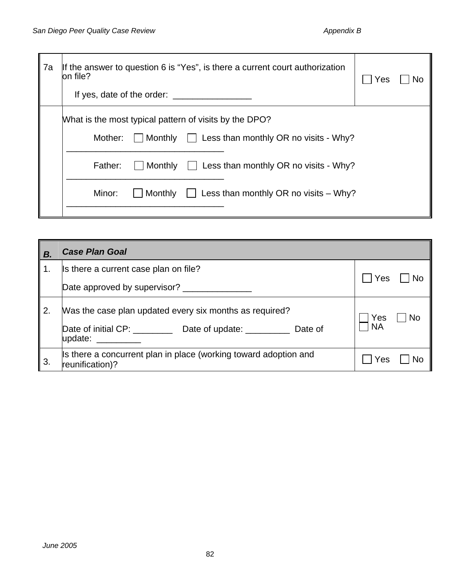| 7a | If the answer to question 6 is "Yes", is there a current court authorization<br>on file?<br>If yes, date of the order:                                                                                                                                                    | Yes |  |
|----|---------------------------------------------------------------------------------------------------------------------------------------------------------------------------------------------------------------------------------------------------------------------------|-----|--|
|    | What is the most typical pattern of visits by the DPO?<br>$\Box$ Monthly $\Box$ Less than monthly OR no visits - Why?<br>Mother:<br>  Monthly<br>$\vert$ Less than monthly OR no visits - Why?<br>Father:<br>Minor:<br>Monthly<br>Less than monthly OR no visits $-$ Why? |     |  |

| В. | <b>Case Plan Goal</b>                                                                                                            |                  |
|----|----------------------------------------------------------------------------------------------------------------------------------|------------------|
| 1. | Is there a current case plan on file?                                                                                            |                  |
|    | Date approved by supervisor?                                                                                                     | Yes              |
| 2. | Was the case plan updated every six months as required?<br>Date of initial CP: ___________ Date of update: _____________ Date of | Yes<br><b>NA</b> |
|    | update: when the set of the set of the set of the set of the set of the set of the set of the set of the set o                   |                  |
| 3. | Is there a concurrent plan in place (working toward adoption and<br>reunification)?                                              | Yes              |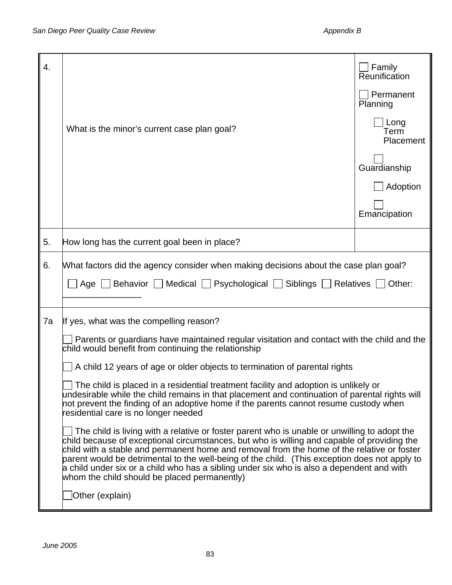| 4. |                                                                                                                                                                                                                                                                                                                                                                                                                                                                                                                                         | Family<br>Reunification   |  |  |  |
|----|-----------------------------------------------------------------------------------------------------------------------------------------------------------------------------------------------------------------------------------------------------------------------------------------------------------------------------------------------------------------------------------------------------------------------------------------------------------------------------------------------------------------------------------------|---------------------------|--|--|--|
|    |                                                                                                                                                                                                                                                                                                                                                                                                                                                                                                                                         | Permanent<br>Planning     |  |  |  |
|    | What is the minor's current case plan goal?                                                                                                                                                                                                                                                                                                                                                                                                                                                                                             | Long<br>Term<br>Placement |  |  |  |
|    |                                                                                                                                                                                                                                                                                                                                                                                                                                                                                                                                         | Guardianship              |  |  |  |
|    |                                                                                                                                                                                                                                                                                                                                                                                                                                                                                                                                         | Adoption                  |  |  |  |
|    |                                                                                                                                                                                                                                                                                                                                                                                                                                                                                                                                         | Emancipation              |  |  |  |
| 5. | How long has the current goal been in place?                                                                                                                                                                                                                                                                                                                                                                                                                                                                                            |                           |  |  |  |
| 6. | What factors did the agency consider when making decisions about the case plan goal?<br>Age   Behavior   Medical   Psychological   Siblings   Relatives                                                                                                                                                                                                                                                                                                                                                                                 | Other:                    |  |  |  |
| 7a | If yes, what was the compelling reason?                                                                                                                                                                                                                                                                                                                                                                                                                                                                                                 |                           |  |  |  |
|    | Parents or guardians have maintained regular visitation and contact with the child and the<br>child would benefit from continuing the relationship                                                                                                                                                                                                                                                                                                                                                                                      |                           |  |  |  |
|    | A child 12 years of age or older objects to termination of parental rights                                                                                                                                                                                                                                                                                                                                                                                                                                                              |                           |  |  |  |
|    | $\Box$ The child is placed in a residential treatment facility and adoption is unlikely or<br>undesirable while the child remains in that placement and continuation of parental rights will<br>hot prevent the finding of an adoptive home if the parents cannot resume custody when<br>residential care is no longer needed                                                                                                                                                                                                           |                           |  |  |  |
|    | The child is living with a relative or foster parent who is unable or unwilling to adopt the<br>child because of exceptional circumstances, but who is willing and capable of providing the<br>child with a stable and permanent home and removal from the home of the relative or foster<br>parent would be detrimental to the well-being of the child. (This exception does not apply to<br>a child under six or a child who has a sibling under six who is also a dependent and with<br>whom the child should be placed permanently) |                           |  |  |  |
|    | Other (explain)                                                                                                                                                                                                                                                                                                                                                                                                                                                                                                                         |                           |  |  |  |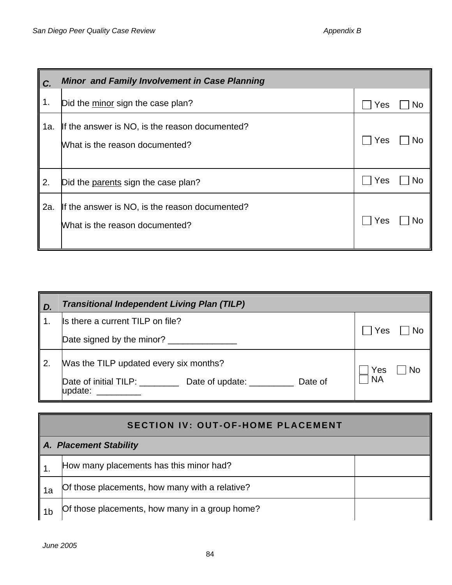| C.  | <b>Minor and Family Involvement in Case Planning</b>                             |           |  |  |  |
|-----|----------------------------------------------------------------------------------|-----------|--|--|--|
| 1.  | Did the minor sign the case plan?                                                | Yes<br>No |  |  |  |
| 1a. | If the answer is NO, is the reason documented?<br>What is the reason documented? | Yes<br>No |  |  |  |
| 2.  | Did the parents sign the case plan?                                              | Yes<br>No |  |  |  |
| 2a. | If the answer is NO, is the reason documented?<br>What is the reason documented? | Yes<br>No |  |  |  |

| D. | <b>Transitional Independent Living Plan (TILP)</b>                                                                         |                        |
|----|----------------------------------------------------------------------------------------------------------------------------|------------------------|
|    | Is there a current TILP on file?                                                                                           |                        |
|    | Date signed by the minor? ______________                                                                                   | Yes<br>No              |
|    | Was the TILP updated every six months?<br>Date of initial TILP:<br>Date of<br>Date of update: <u>__________</u><br>update: | Yes<br>No<br><b>NA</b> |

|                               | <b>SECTION IV: OUT-OF-HOME PLACEMENT</b>       |  |  |  |  |
|-------------------------------|------------------------------------------------|--|--|--|--|
| <b>A. Placement Stability</b> |                                                |  |  |  |  |
|                               | How many placements has this minor had?        |  |  |  |  |
| 1a                            | Of those placements, how many with a relative? |  |  |  |  |
| 1b                            | Of those placements, how many in a group home? |  |  |  |  |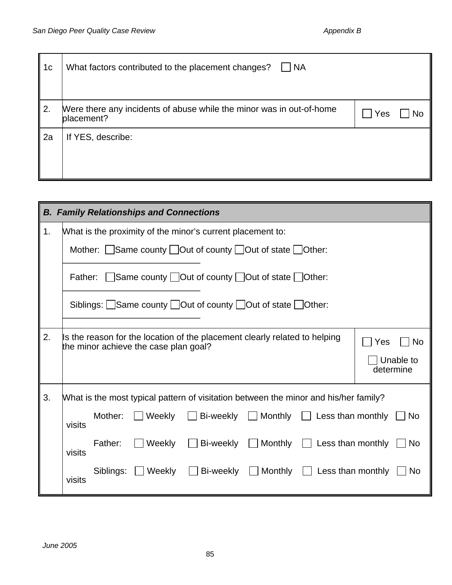| 1c | What factors contributed to the placement changes?<br><b>NA</b>                    |     |
|----|------------------------------------------------------------------------------------|-----|
| 2. | Were there any incidents of abuse while the minor was in out-of-home<br>placement? | Yes |
| 2a | If YES, describe:                                                                  |     |

|    | <b>B. Family Relationships and Connections</b>             |           |                                       |                                                                                      |                |                                         |                        |
|----|------------------------------------------------------------|-----------|---------------------------------------|--------------------------------------------------------------------------------------|----------------|-----------------------------------------|------------------------|
| 1. | What is the proximity of the minor's current placement to: |           |                                       |                                                                                      |                |                                         |                        |
|    | Mother: Same county Out of county Out of state Other:      |           |                                       |                                                                                      |                |                                         |                        |
|    |                                                            |           |                                       | Father: Same county   Out of county   Out of state   Other:                          |                |                                         |                        |
|    |                                                            |           |                                       | Siblings: Same county   Out of county   Out of state   Other:                        |                |                                         |                        |
| 2. |                                                            |           | the minor achieve the case plan goal? | Is the reason for the location of the placement clearly related to helping           |                |                                         | Yes<br><b>No</b>       |
|    |                                                            |           |                                       |                                                                                      |                |                                         | Unable to<br>determine |
| 3. |                                                            |           |                                       | What is the most typical pattern of visitation between the minor and his/her family? |                |                                         |                        |
|    | visits                                                     | Mother:   | Weekly                                | Bi-weekly                                                                            | $\Box$ Monthly | $\Box$ Less than monthly                | N <sub>o</sub>         |
|    | visits                                                     | Father:   | Weekly                                | Bi-weekly                                                                            | $\Box$ Monthly | Less than monthly                       | <b>No</b>              |
|    | visits                                                     | Siblings: | Weekly                                | Bi-weekly                                                                            |                | $\Box$ Monthly $\Box$ Less than monthly | No.                    |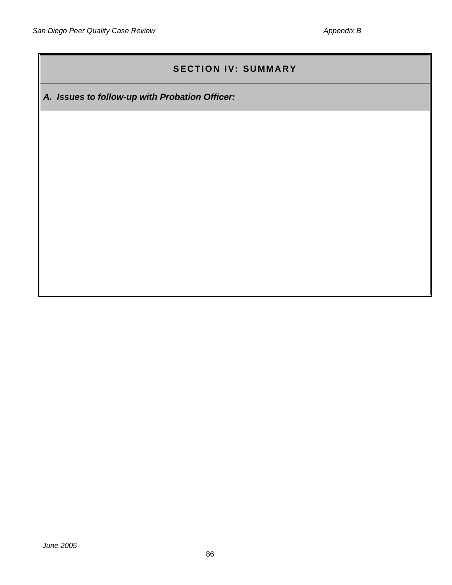# **SECTION IV: SUMMARY**

*A. Issues to follow-up with Probation Officer:*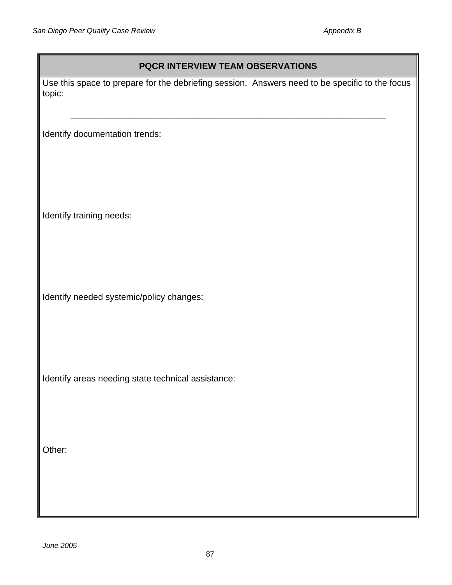# **PQCR INTERVIEW TEAM OBSERVATIONS**

Use this space to prepare for the debriefing session. Answers need to be specific to the focus topic:

\_\_\_\_\_\_\_\_\_\_\_\_\_\_\_\_\_\_\_\_\_\_\_\_\_\_\_\_\_\_\_\_\_\_\_\_\_\_\_\_\_\_\_\_\_\_\_\_\_\_\_\_\_\_\_\_\_\_\_\_\_\_\_\_

Identify documentation trends:

Identify training needs:

Identify needed systemic/policy changes:

Identify areas needing state technical assistance:

Other: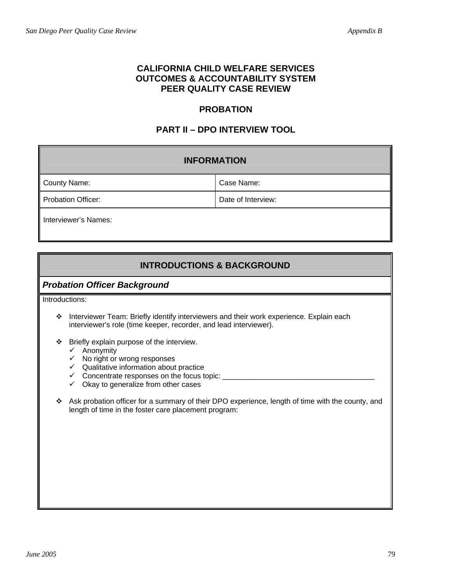## **CALIFORNIA CHILD WELFARE SERVICES OUTCOMES & ACCOUNTABILITY SYSTEM PEER QUALITY CASE REVIEW**

# **PROBATION**

# **PART II – DPO INTERVIEW TOOL**

| <b>INFORMATION</b>        |                    |
|---------------------------|--------------------|
| <b>County Name:</b>       | Case Name:         |
| <b>Probation Officer:</b> | Date of Interview: |
| Interviewer's Names:      |                    |

# **INTRODUCTIONS & BACKGROUND**

## *Probation Officer Background*

Introductions:

- \* Interviewer Team: Briefly identify interviewers and their work experience. Explain each interviewer's role (time keeper, recorder, and lead interviewer).
- Briefly explain purpose of the interview.
	- $\checkmark$  Anonymity
	- $\checkmark$  No right or wrong responses
	- $\checkmark$  Qualitative information about practice
	- 9 Concentrate responses on the focus topic: \_\_\_\_\_\_\_\_\_\_\_\_\_\_\_\_\_\_\_\_\_\_\_\_\_\_\_\_\_\_\_\_\_\_\_\_\_
	- $\checkmark$  Okay to generalize from other cases
- \* Ask probation officer for a summary of their DPO experience, length of time with the county, and length of time in the foster care placement program: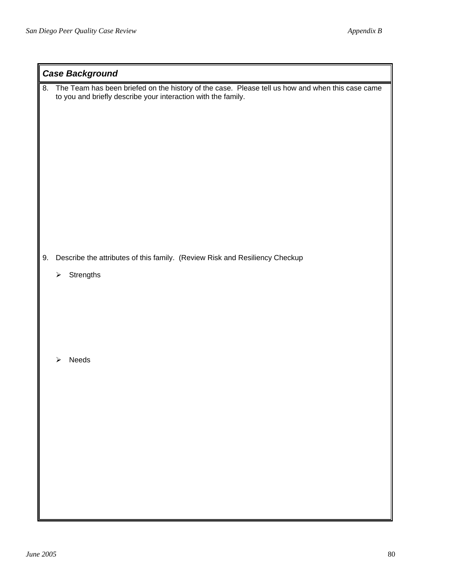|    | <b>Case Background</b>                                                                                                                                            |  |
|----|-------------------------------------------------------------------------------------------------------------------------------------------------------------------|--|
| 8. | The Team has been briefed on the history of the case. Please tell us how and when this case came<br>to you and briefly describe your interaction with the family. |  |
| 9. | Describe the attributes of this family. (Review Risk and Resiliency Checkup                                                                                       |  |
|    | Strengths<br>$\blacktriangleright$                                                                                                                                |  |
|    |                                                                                                                                                                   |  |
|    | Needs<br>➤                                                                                                                                                        |  |
|    |                                                                                                                                                                   |  |
|    |                                                                                                                                                                   |  |
|    |                                                                                                                                                                   |  |
|    |                                                                                                                                                                   |  |
|    |                                                                                                                                                                   |  |
|    |                                                                                                                                                                   |  |
|    |                                                                                                                                                                   |  |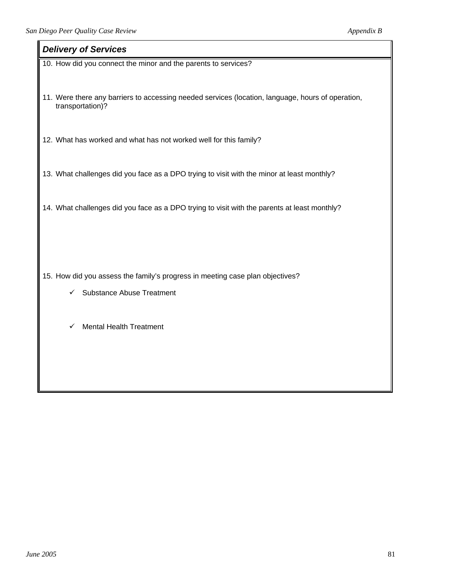#### *Delivery of Services*

10. How did you connect the minor and the parents to services?

11. Were there any barriers to accessing needed services (location, language, hours of operation, transportation)?

12. What has worked and what has not worked well for this family?

13. What challenges did you face as a DPO trying to visit with the minor at least monthly?

14. What challenges did you face as a DPO trying to visit with the parents at least monthly?

15. How did you assess the family's progress in meeting case plan objectives?

- $\checkmark$  Substance Abuse Treatment
- $\checkmark$  Mental Health Treatment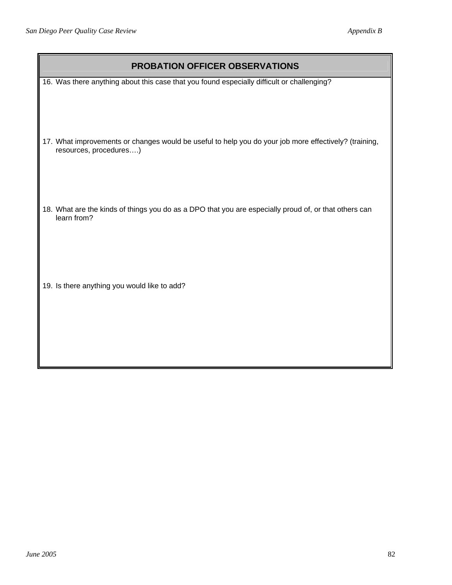| <b>PROBATION OFFICER OBSERVATIONS</b>                                                                                           |  |
|---------------------------------------------------------------------------------------------------------------------------------|--|
| 16. Was there anything about this case that you found especially difficult or challenging?                                      |  |
| 17. What improvements or changes would be useful to help you do your job more effectively? (training,<br>resources, procedures) |  |
| 18. What are the kinds of things you do as a DPO that you are especially proud of, or that others can<br>learn from?            |  |
| 19. Is there anything you would like to add?                                                                                    |  |

┃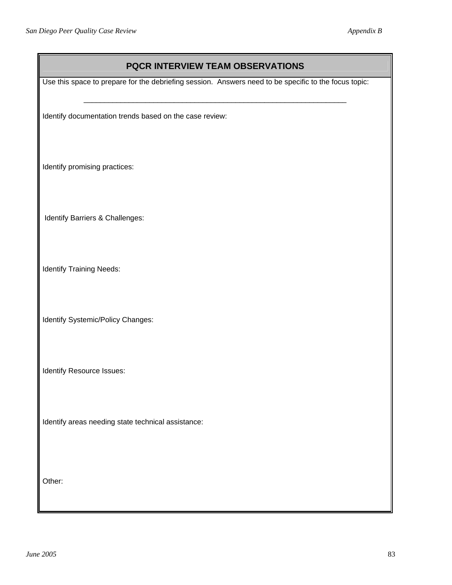| PQCR INTERVIEW TEAM OBSERVATIONS                                                                      |  |
|-------------------------------------------------------------------------------------------------------|--|
| Use this space to prepare for the debriefing session. Answers need to be specific to the focus topic: |  |
| Identify documentation trends based on the case review:                                               |  |
| Identify promising practices:                                                                         |  |
| Identify Barriers & Challenges:                                                                       |  |
| <b>Identify Training Needs:</b>                                                                       |  |
| Identify Systemic/Policy Changes:                                                                     |  |
| Identify Resource Issues:                                                                             |  |
| Identify areas needing state technical assistance:                                                    |  |
| Other:                                                                                                |  |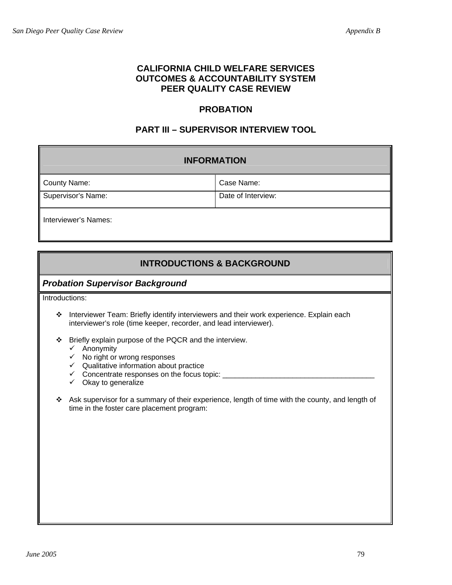## **CALIFORNIA CHILD WELFARE SERVICES OUTCOMES & ACCOUNTABILITY SYSTEM PEER QUALITY CASE REVIEW**

# **PROBATION**

# **PART III – SUPERVISOR INTERVIEW TOOL**

| <b>INFORMATION</b>   |                    |
|----------------------|--------------------|
| <b>County Name:</b>  | Case Name:         |
| Supervisor's Name:   | Date of Interview: |
| Interviewer's Names: |                    |

# **INTRODUCTIONS & BACKGROUND**

## *Probation Supervisor Background*

Introductions:

- \* Interviewer Team: Briefly identify interviewers and their work experience. Explain each interviewer's role (time keeper, recorder, and lead interviewer).
- Briefly explain purpose of the PQCR and the interview.
	- $\checkmark$  Anonymity
	- $\checkmark$  No right or wrong responses
	- $\checkmark$  Qualitative information about practice
	- 9 Concentrate responses on the focus topic: \_\_\_\_\_\_\_\_\_\_\_\_\_\_\_\_\_\_\_\_\_\_\_\_\_\_\_\_\_\_\_\_\_\_\_\_\_
	- $\checkmark$  Okay to generalize
- Ask supervisor for a summary of their experience, length of time with the county, and length of time in the foster care placement program: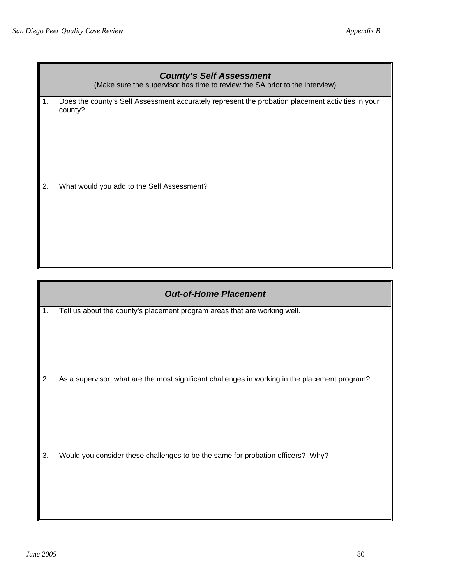|    | <b>County's Self Assessment</b><br>(Make sure the supervisor has time to review the SA prior to the interview) |
|----|----------------------------------------------------------------------------------------------------------------|
| 1. | Does the county's Self Assessment accurately represent the probation placement activities in your<br>county?   |
| 2. | What would you add to the Self Assessment?                                                                     |
|    |                                                                                                                |
|    |                                                                                                                |

## *Out-of-Home Placement*

1. Tell us about the county's placement program areas that are working well.

2. As a supervisor, what are the most significant challenges in working in the placement program?

3. Would you consider these challenges to be the same for probation officers? Why?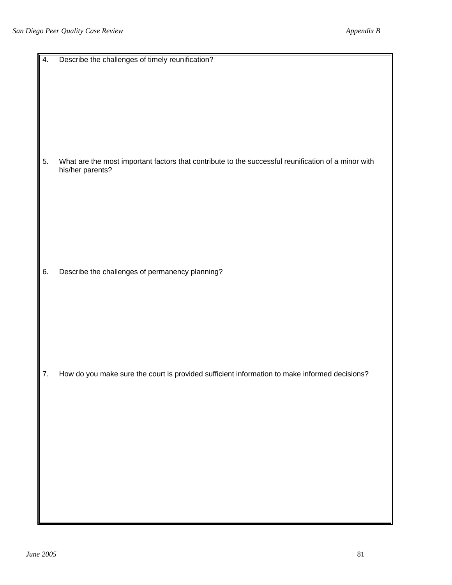| 4. | Describe the challenges of timely reunification?                                                                        |
|----|-------------------------------------------------------------------------------------------------------------------------|
| 5. | What are the most important factors that contribute to the successful reunification of a minor with<br>his/her parents? |
| 6. | Describe the challenges of permanency planning?                                                                         |
| 7. | How do you make sure the court is provided sufficient information to make informed decisions?                           |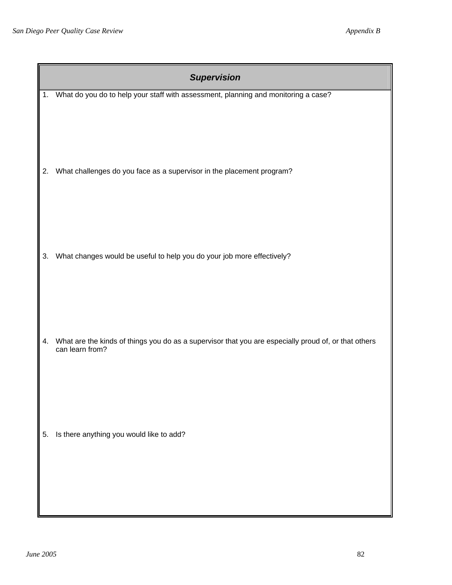|    | <b>Supervision</b>                                                                                                      |
|----|-------------------------------------------------------------------------------------------------------------------------|
| 1. | What do you do to help your staff with assessment, planning and monitoring a case?                                      |
| 2. | What challenges do you face as a supervisor in the placement program?                                                   |
| 3. | What changes would be useful to help you do your job more effectively?                                                  |
| 4. | What are the kinds of things you do as a supervisor that you are especially proud of, or that others<br>can learn from? |
| 5. | Is there anything you would like to add?                                                                                |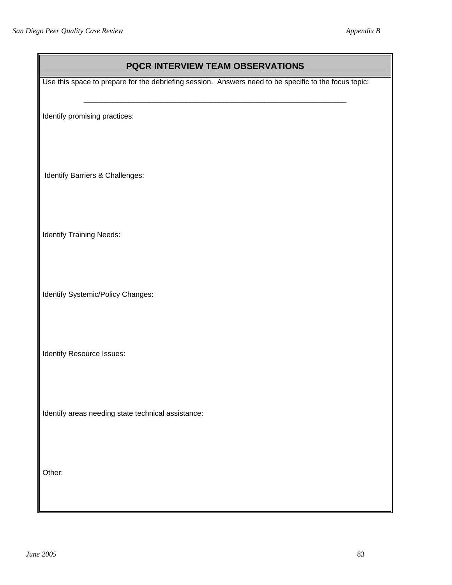| PQCR INTERVIEW TEAM OBSERVATIONS                                                                      |  |
|-------------------------------------------------------------------------------------------------------|--|
| Use this space to prepare for the debriefing session. Answers need to be specific to the focus topic: |  |
| Identify promising practices:                                                                         |  |
| Identify Barriers & Challenges:                                                                       |  |
| <b>Identify Training Needs:</b>                                                                       |  |
| Identify Systemic/Policy Changes:                                                                     |  |
| Identify Resource Issues:                                                                             |  |
| Identify areas needing state technical assistance:                                                    |  |
| Other:                                                                                                |  |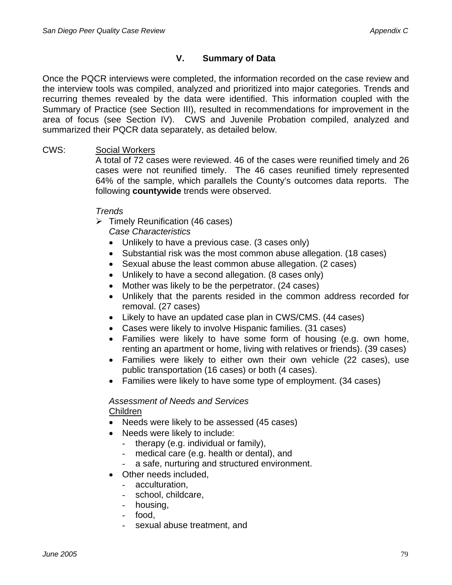# **V. Summary of Data**

Once the PQCR interviews were completed, the information recorded on the case review and the interview tools was compiled, analyzed and prioritized into major categories. Trends and recurring themes revealed by the data were identified. This information coupled with the Summary of Practice (see Section III), resulted in recommendations for improvement in the area of focus (see Section IV). CWS and Juvenile Probation compiled, analyzed and summarized their PQCR data separately, as detailed below.

# CWS: Social Workers

A total of 72 cases were reviewed. 46 of the cases were reunified timely and 26 cases were not reunified timely. The 46 cases reunified timely represented 64% of the sample, which parallels the County's outcomes data reports. The following **countywide** trends were observed.

# *Trends*

 $\triangleright$  Timely Reunification (46 cases)

*Case Characteristics* 

- Unlikely to have a previous case. (3 cases only)
- Substantial risk was the most common abuse allegation. (18 cases)
- Sexual abuse the least common abuse allegation. (2 cases)
- Unlikely to have a second allegation. (8 cases only)
- Mother was likely to be the perpetrator. (24 cases)
- Unlikely that the parents resided in the common address recorded for removal. (27 cases)
- Likely to have an updated case plan in CWS/CMS. (44 cases)
- Cases were likely to involve Hispanic families. (31 cases)
- Families were likely to have some form of housing (e.g. own home, renting an apartment or home, living with relatives or friends). (39 cases)
- Families were likely to either own their own vehicle (22 cases), use public transportation (16 cases) or both (4 cases).
- Families were likely to have some type of employment. (34 cases)

# *Assessment of Needs and Services*  Children

- Needs were likely to be assessed (45 cases)
- Needs were likely to include:
	- therapy (e.g. individual or family),
	- medical care (e.g. health or dental), and
	- a safe, nurturing and structured environment.
- Other needs included.
- acculturation,
	- school, childcare,
	- housing,
	- food,
	- sexual abuse treatment, and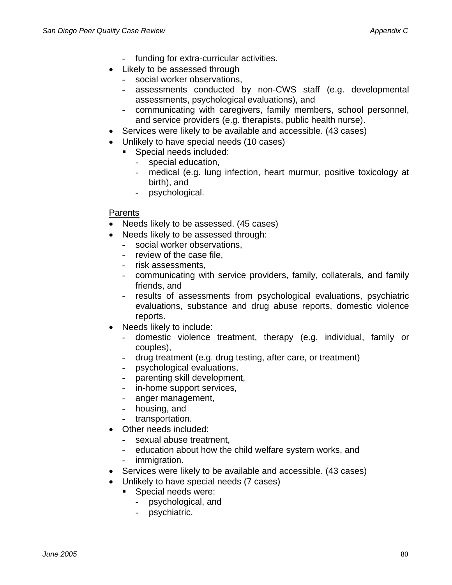- funding for extra-curricular activities.
- Likely to be assessed through
	- social worker observations,
	- assessments conducted by non-CWS staff (e.g. developmental assessments, psychological evaluations), and
	- communicating with caregivers, family members, school personnel, and service providers (e.g. therapists, public health nurse).
- Services were likely to be available and accessible. (43 cases)
- Unlikely to have special needs (10 cases)
	- **Special needs included:** 
		- special education,
		- medical (e.g. lung infection, heart murmur, positive toxicology at birth), and
		- psychological.

## **Parents**

- Needs likely to be assessed. (45 cases)
- Needs likely to be assessed through:
	- social worker observations,
	- review of the case file,
	- risk assessments,
	- communicating with service providers, family, collaterals, and family friends, and
	- results of assessments from psychological evaluations, psychiatric evaluations, substance and drug abuse reports, domestic violence reports.
- Needs likely to include:
	- domestic violence treatment, therapy (e.g. individual, family or couples),
	- drug treatment (e.g. drug testing, after care, or treatment)
	- psychological evaluations,
	- parenting skill development,
	- in-home support services,
	- anger management,
	- housing, and
	- transportation.
- Other needs included:
	- sexual abuse treatment,
	- education about how the child welfare system works, and
	- immigration.
- Services were likely to be available and accessible. (43 cases)
- Unlikely to have special needs (7 cases)
	- Special needs were:
		- psychological, and
		- psychiatric.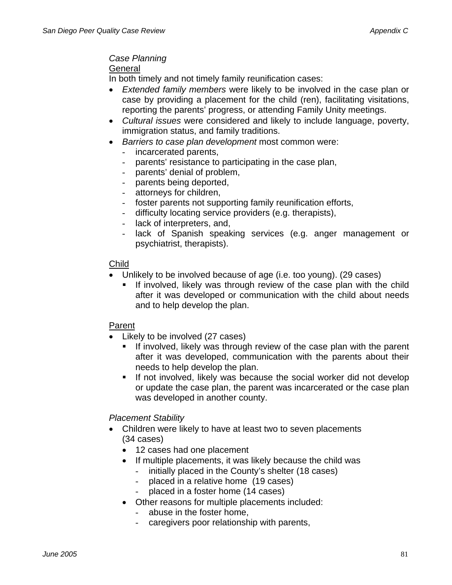# *Case Planning*

#### **General**

In both timely and not timely family reunification cases:

- *Extended family members* were likely to be involved in the case plan or case by providing a placement for the child (ren), facilitating visitations, reporting the parents' progress, or attending Family Unity meetings.
- *Cultural issues* were considered and likely to include language, poverty, immigration status, and family traditions.
- *Barriers to case plan development* most common were:
	- incarcerated parents,
	- parents' resistance to participating in the case plan,
	- parents' denial of problem,
	- parents being deported,
	- attorneys for children,
	- foster parents not supporting family reunification efforts,
	- difficulty locating service providers (e.g. therapists),
	- lack of interpreters, and,
	- lack of Spanish speaking services (e.g. anger management or psychiatrist, therapists).

## Child

- Unlikely to be involved because of age (i.e. too young). (29 cases)
	- **If involved, likely was through review of the case plan with the child** after it was developed or communication with the child about needs and to help develop the plan.

## Parent

- Likely to be involved (27 cases)
	- **If involved, likely was through review of the case plan with the parent** after it was developed, communication with the parents about their needs to help develop the plan.
	- If not involved, likely was because the social worker did not develop or update the case plan, the parent was incarcerated or the case plan was developed in another county.

## *Placement Stability*

- Children were likely to have at least two to seven placements (34 cases)
	- 12 cases had one placement
	- If multiple placements, it was likely because the child was
		- initially placed in the County's shelter (18 cases)
			- placed in a relative home (19 cases)
		- placed in a foster home (14 cases)
	- Other reasons for multiple placements included:
		- abuse in the foster home,
		- caregivers poor relationship with parents,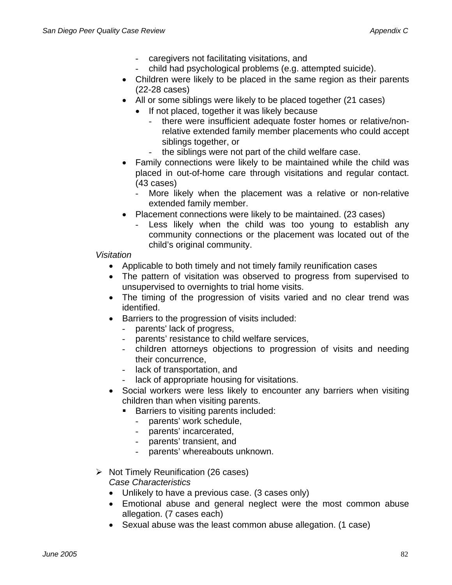- caregivers not facilitating visitations, and
- child had psychological problems (e.g. attempted suicide).
- Children were likely to be placed in the same region as their parents (22-28 cases)
- All or some siblings were likely to be placed together (21 cases)
	- If not placed, together it was likely because
		- there were insufficient adequate foster homes or relative/nonrelative extended family member placements who could accept siblings together, or
		- the siblings were not part of the child welfare case.
- Family connections were likely to be maintained while the child was placed in out-of-home care through visitations and regular contact. (43 cases)
	- More likely when the placement was a relative or non-relative extended family member.
- Placement connections were likely to be maintained. (23 cases)
	- Less likely when the child was too young to establish any community connections or the placement was located out of the child's original community.

# *Visitation*

- Applicable to both timely and not timely family reunification cases
- The pattern of visitation was observed to progress from supervised to unsupervised to overnights to trial home visits.
- The timing of the progression of visits varied and no clear trend was identified.
- Barriers to the progression of visits included:
	- parents' lack of progress,
	- parents' resistance to child welfare services,
	- children attorneys objections to progression of visits and needing their concurrence,
	- lack of transportation, and
	- lack of appropriate housing for visitations.
- Social workers were less likely to encounter any barriers when visiting children than when visiting parents.
	- **Barriers to visiting parents included:** 
		- parents' work schedule,
		- parents' incarcerated,
		- parents' transient, and
		- parents' whereabouts unknown.
- $\triangleright$  Not Timely Reunification (26 cases) *Case Characteristics* 
	- Unlikely to have a previous case. (3 cases only)
	- Emotional abuse and general neglect were the most common abuse allegation. (7 cases each)
	- Sexual abuse was the least common abuse allegation. (1 case)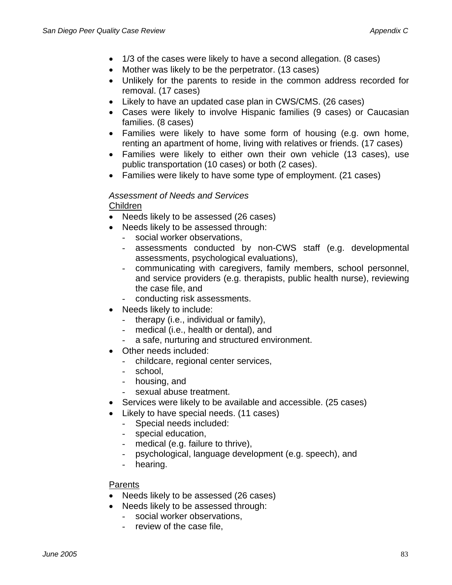- 1/3 of the cases were likely to have a second allegation. (8 cases)
- Mother was likely to be the perpetrator. (13 cases)
- Unlikely for the parents to reside in the common address recorded for removal. (17 cases)
- Likely to have an updated case plan in CWS/CMS. (26 cases)
- Cases were likely to involve Hispanic families (9 cases) or Caucasian families. (8 cases)
- Families were likely to have some form of housing (e.g. own home, renting an apartment of home, living with relatives or friends. (17 cases)
- Families were likely to either own their own vehicle (13 cases), use public transportation (10 cases) or both (2 cases).
- Families were likely to have some type of employment. (21 cases)

#### *Assessment of Needs and Services*  Children

- Needs likely to be assessed (26 cases)
- Needs likely to be assessed through:
	- social worker observations,
	- assessments conducted by non-CWS staff (e.g. developmental assessments, psychological evaluations),
	- communicating with caregivers, family members, school personnel, and service providers (e.g. therapists, public health nurse), reviewing the case file, and
	- conducting risk assessments.
- Needs likely to include:
	- therapy (i.e., individual or family),
	- medical (i.e., health or dental), and
	- a safe, nurturing and structured environment.
- Other needs included:
	- childcare, regional center services,
	- school,
	- housing, and
	- sexual abuse treatment.
- Services were likely to be available and accessible. (25 cases)
- Likely to have special needs. (11 cases)
	- Special needs included:
	- special education,
	- medical (e.g. failure to thrive),
	- psychological, language development (e.g. speech), and
	- hearing.

#### Parents

- Needs likely to be assessed (26 cases)
- Needs likely to be assessed through:
	- social worker observations,
	- review of the case file,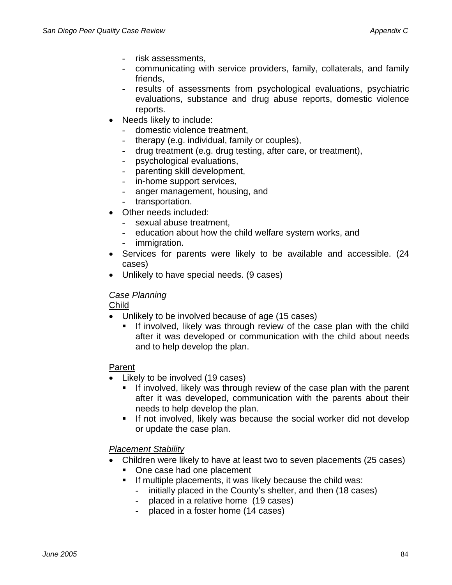- risk assessments.
- communicating with service providers, family, collaterals, and family friends,
- results of assessments from psychological evaluations, psychiatric evaluations, substance and drug abuse reports, domestic violence reports.
- Needs likely to include:
	- domestic violence treatment,
	- therapy (e.g. individual, family or couples),
	- drug treatment (e.g. drug testing, after care, or treatment),
	- psychological evaluations,
	- parenting skill development,
	- in-home support services,
	- anger management, housing, and
	- transportation.
- Other needs included:
	- sexual abuse treatment.
	- education about how the child welfare system works, and
	- immigration.
- Services for parents were likely to be available and accessible. (24 cases)
- Unlikely to have special needs. (9 cases)

### *Case Planning*

Child

- Unlikely to be involved because of age (15 cases)
	- If involved, likely was through review of the case plan with the child after it was developed or communication with the child about needs and to help develop the plan.

### Parent

- Likely to be involved (19 cases)
	- If involved, likely was through review of the case plan with the parent after it was developed, communication with the parents about their needs to help develop the plan.
	- If not involved, likely was because the social worker did not develop or update the case plan.

## *Placement Stability*

- Children were likely to have at least two to seven placements (25 cases)
	- One case had one placement
	- **If multiple placements, it was likely because the child was:** 
		- initially placed in the County's shelter, and then (18 cases)
		- placed in a relative home (19 cases)
		- placed in a foster home (14 cases)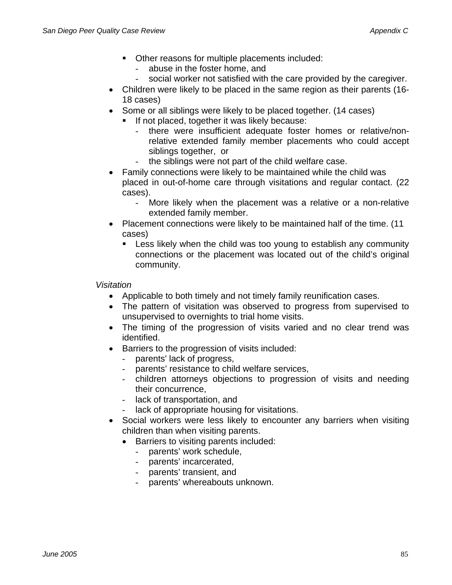- Other reasons for multiple placements included:
	- abuse in the foster home, and
	- social worker not satisfied with the care provided by the caregiver.
- Children were likely to be placed in the same region as their parents (16- 18 cases)
- Some or all siblings were likely to be placed together. (14 cases)
	- **If not placed, together it was likely because:** 
		- there were insufficient adequate foster homes or relative/nonrelative extended family member placements who could accept siblings together, or
		- the siblings were not part of the child welfare case.
- Family connections were likely to be maintained while the child was placed in out-of-home care through visitations and regular contact. (22 cases).
	- More likely when the placement was a relative or a non-relative extended family member.
- Placement connections were likely to be maintained half of the time. (11 cases)
	- Less likely when the child was too young to establish any community connections or the placement was located out of the child's original community.

*Visitation* 

- Applicable to both timely and not timely family reunification cases.
- The pattern of visitation was observed to progress from supervised to unsupervised to overnights to trial home visits.
- The timing of the progression of visits varied and no clear trend was identified.
- Barriers to the progression of visits included:
	- parents' lack of progress,
	- parents' resistance to child welfare services,
	- children attorneys objections to progression of visits and needing their concurrence,
	- lack of transportation, and
	- lack of appropriate housing for visitations.
- Social workers were less likely to encounter any barriers when visiting children than when visiting parents.
	- Barriers to visiting parents included:
		- parents' work schedule,
		- parents' incarcerated,
		- parents' transient, and
		- parents' whereabouts unknown.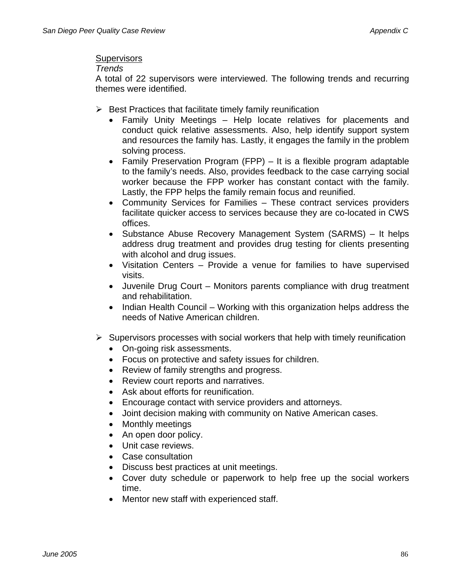#### **Supervisors**

#### *Trends*

A total of 22 supervisors were interviewed. The following trends and recurring themes were identified.

- $\triangleright$  Best Practices that facilitate timely family reunification
	- Family Unity Meetings Help locate relatives for placements and conduct quick relative assessments. Also, help identify support system and resources the family has. Lastly, it engages the family in the problem solving process.
	- Family Preservation Program (FPP) It is a flexible program adaptable to the family's needs. Also, provides feedback to the case carrying social worker because the FPP worker has constant contact with the family. Lastly, the FPP helps the family remain focus and reunified.
	- Community Services for Families These contract services providers facilitate quicker access to services because they are co-located in CWS offices.
	- Substance Abuse Recovery Management System (SARMS) It helps address drug treatment and provides drug testing for clients presenting with alcohol and drug issues.
	- Visitation Centers Provide a venue for families to have supervised visits.
	- Juvenile Drug Court Monitors parents compliance with drug treatment and rehabilitation.
	- Indian Health Council Working with this organization helps address the needs of Native American children.
- $\triangleright$  Supervisors processes with social workers that help with timely reunification
	- On-going risk assessments.
	- Focus on protective and safety issues for children.
	- Review of family strengths and progress.
	- Review court reports and narratives.
	- Ask about efforts for reunification.
	- Encourage contact with service providers and attorneys.
	- Joint decision making with community on Native American cases.
	- Monthly meetings
	- An open door policy.
	- Unit case reviews.
	- Case consultation
	- Discuss best practices at unit meetings.
	- Cover duty schedule or paperwork to help free up the social workers time.
	- Mentor new staff with experienced staff.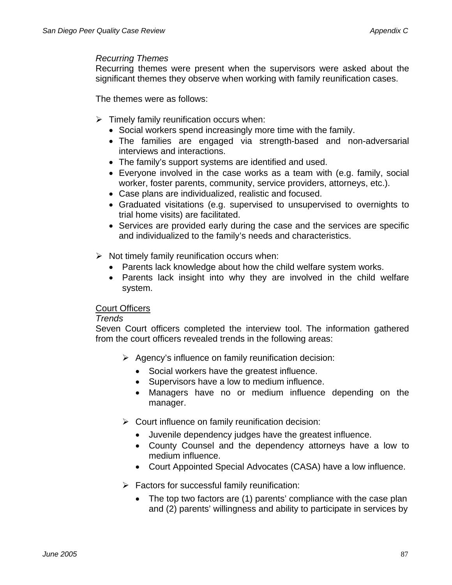#### *Recurring Themes*

Recurring themes were present when the supervisors were asked about the significant themes they observe when working with family reunification cases.

The themes were as follows:

- $\triangleright$  Timely family reunification occurs when:
	- Social workers spend increasingly more time with the family.
	- The families are engaged via strength-based and non-adversarial interviews and interactions.
	- The family's support systems are identified and used.
	- Everyone involved in the case works as a team with (e.g. family, social worker, foster parents, community, service providers, attorneys, etc.).
	- Case plans are individualized, realistic and focused.
	- Graduated visitations (e.g. supervised to unsupervised to overnights to trial home visits) are facilitated.
	- Services are provided early during the case and the services are specific and individualized to the family's needs and characteristics.
- $\triangleright$  Not timely family reunification occurs when:
	- Parents lack knowledge about how the child welfare system works.
	- Parents lack insight into why they are involved in the child welfare system.

### Court Officers

### *Trends*

Seven Court officers completed the interview tool. The information gathered from the court officers revealed trends in the following areas:

- $\triangleright$  Agency's influence on family reunification decision:
	- Social workers have the greatest influence.
	- Supervisors have a low to medium influence.
	- Managers have no or medium influence depending on the manager.
- $\triangleright$  Court influence on family reunification decision:
	- Juvenile dependency judges have the greatest influence.
	- County Counsel and the dependency attorneys have a low to medium influence.
	- Court Appointed Special Advocates (CASA) have a low influence.
- $\triangleright$  Factors for successful family reunification:
	- The top two factors are (1) parents' compliance with the case plan and (2) parents' willingness and ability to participate in services by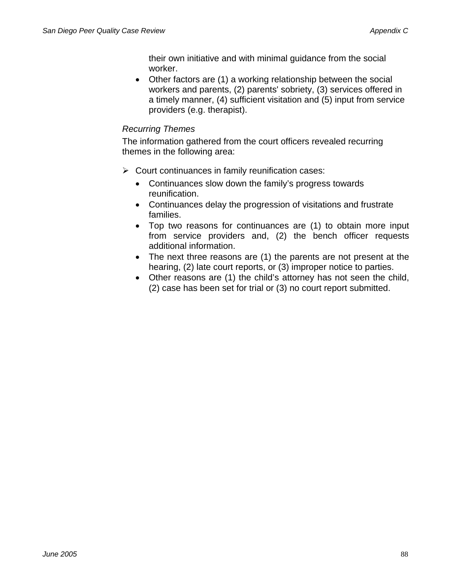their own initiative and with minimal guidance from the social worker.

• Other factors are (1) a working relationship between the social workers and parents, (2) parents' sobriety, (3) services offered in a timely manner, (4) sufficient visitation and (5) input from service providers (e.g. therapist).

## *Recurring Themes*

The information gathered from the court officers revealed recurring themes in the following area:

- $\triangleright$  Court continuances in family reunification cases:
	- Continuances slow down the family's progress towards reunification.
	- Continuances delay the progression of visitations and frustrate families.
	- Top two reasons for continuances are (1) to obtain more input from service providers and, (2) the bench officer requests additional information.
	- The next three reasons are (1) the parents are not present at the hearing, (2) late court reports, or (3) improper notice to parties.
	- Other reasons are (1) the child's attorney has not seen the child, (2) case has been set for trial or (3) no court report submitted.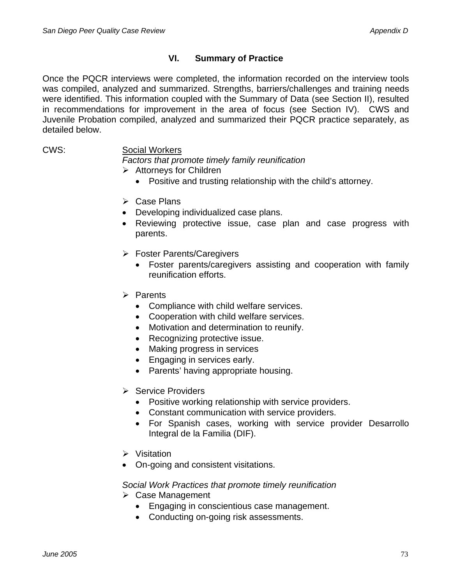# **VI. Summary of Practice**

Once the PQCR interviews were completed, the information recorded on the interview tools was compiled, analyzed and summarized. Strengths, barriers/challenges and training needs were identified. This information coupled with the Summary of Data (see Section II), resulted in recommendations for improvement in the area of focus (see Section IV). CWS and Juvenile Probation compiled, analyzed and summarized their PQCR practice separately, as detailed below.

### CWS: Social Workers

*Factors that promote timely family reunification* 

- $\triangleright$  Attorneys for Children
	- Positive and trusting relationship with the child's attorney.
- $\triangleright$  Case Plans
- Developing individualized case plans.
- Reviewing protective issue, case plan and case progress with parents.
- $\triangleright$  Foster Parents/Caregivers
	- Foster parents/caregivers assisting and cooperation with family reunification efforts.
- $\triangleright$  Parents
	- Compliance with child welfare services.
	- Cooperation with child welfare services.
	- Motivation and determination to reunify.
	- Recognizing protective issue.
	- Making progress in services
	- Engaging in services early.
	- Parents' having appropriate housing.
- **▶ Service Providers** 
	- Positive working relationship with service providers.
	- Constant communication with service providers.
	- For Spanish cases, working with service provider Desarrollo Integral de la Familia (DIF).
- $\triangleright$  Visitation
- On-going and consistent visitations.

### *Social Work Practices that promote timely reunification*

- $\triangleright$  Case Management
	- Engaging in conscientious case management.
	- Conducting on-going risk assessments.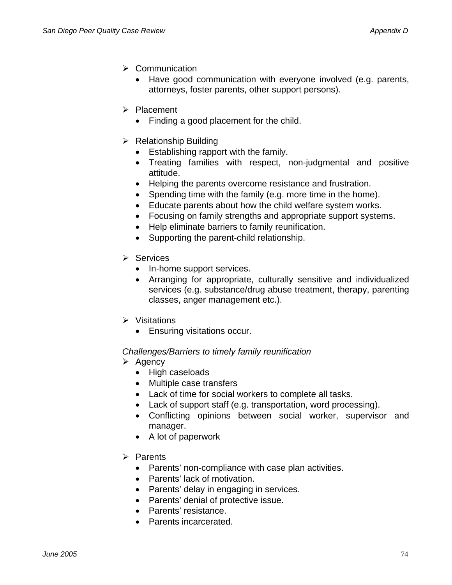- $\triangleright$  Communication
	- Have good communication with everyone involved (e.g. parents, attorneys, foster parents, other support persons).
- ¾ Placement
	- Finding a good placement for the child.
- $\triangleright$  Relationship Building
	- Establishing rapport with the family.
	- Treating families with respect, non-judgmental and positive attitude.
	- Helping the parents overcome resistance and frustration.
	- Spending time with the family (e.g. more time in the home).
	- Educate parents about how the child welfare system works.
	- Focusing on family strengths and appropriate support systems.
	- Help eliminate barriers to family reunification.
	- Supporting the parent-child relationship.
- $\triangleright$  Services
	- In-home support services.
	- Arranging for appropriate, culturally sensitive and individualized services (e.g. substance/drug abuse treatment, therapy, parenting classes, anger management etc.).
- $\triangleright$  Visitations
	- Ensuring visitations occur.

#### *Challenges/Barriers to timely family reunification*

- $\triangleright$  Agency
	- High caseloads
	- Multiple case transfers
	- Lack of time for social workers to complete all tasks.
	- Lack of support staff (e.g. transportation, word processing).
	- Conflicting opinions between social worker, supervisor and manager.
	- A lot of paperwork
- ¾ Parents
	- Parents' non-compliance with case plan activities.
	- Parents' lack of motivation.
	- Parents' delay in engaging in services.
	- Parents' denial of protective issue.
	- Parents' resistance.
	- Parents incarcerated.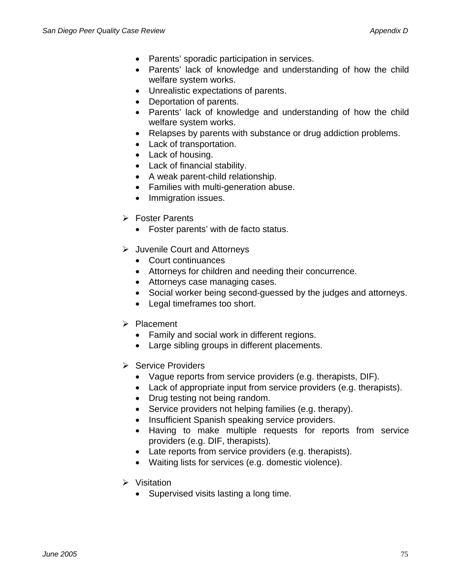- Parents' sporadic participation in services.
- Parents' lack of knowledge and understanding of how the child welfare system works.
- Unrealistic expectations of parents.
- Deportation of parents.
- Parents' lack of knowledge and understanding of how the child welfare system works.
- Relapses by parents with substance or drug addiction problems.
- Lack of transportation.
- Lack of housing.
- Lack of financial stability.
- A weak parent-child relationship.
- Families with multi-generation abuse.
- Immigration issues.
- **▶ Foster Parents** 
	- Foster parents' with de facto status.
- $\triangleright$  Juvenile Court and Attorneys
	- Court continuances
	- Attorneys for children and needing their concurrence.
	- Attorneys case managing cases.
	- Social worker being second-guessed by the judges and attorneys.
	- Legal timeframes too short.
- ¾ Placement
	- Family and social work in different regions.
	- Large sibling groups in different placements.
- $\triangleright$  Service Providers
	- Vague reports from service providers (e.g. therapists, DIF).
	- Lack of appropriate input from service providers (e.g. therapists).
	- Drug testing not being random.
	- Service providers not helping families (e.g. therapy).
	- Insufficient Spanish speaking service providers.
	- Having to make multiple requests for reports from service providers (e.g. DIF, therapists).
	- Late reports from service providers (e.g. therapists).
	- Waiting lists for services (e.g. domestic violence).
- $\triangleright$  Visitation
	- Supervised visits lasting a long time.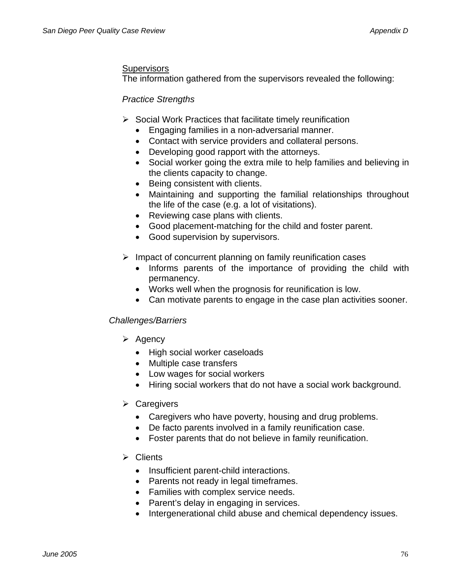## **Supervisors**

The information gathered from the supervisors revealed the following:

## *Practice Strengths*

- $\triangleright$  Social Work Practices that facilitate timely reunification
	- Engaging families in a non-adversarial manner.
	- Contact with service providers and collateral persons.
	- Developing good rapport with the attorneys.
	- Social worker going the extra mile to help families and believing in the clients capacity to change.
	- Being consistent with clients.
	- Maintaining and supporting the familial relationships throughout the life of the case (e.g. a lot of visitations).
	- Reviewing case plans with clients.
	- Good placement-matching for the child and foster parent.
	- Good supervision by supervisors.
- $\triangleright$  Impact of concurrent planning on family reunification cases
	- Informs parents of the importance of providing the child with permanency.
	- Works well when the prognosis for reunification is low.
	- Can motivate parents to engage in the case plan activities sooner.

### *Challenges/Barriers*

- $\triangleright$  Agency
	- High social worker caseloads
	- Multiple case transfers
	- Low wages for social workers
	- Hiring social workers that do not have a social work background.
- $\triangleright$  Caregivers
	- Caregivers who have poverty, housing and drug problems.
	- De facto parents involved in a family reunification case.
	- Foster parents that do not believe in family reunification.

### $\triangleright$  Clients

- Insufficient parent-child interactions.
- Parents not ready in legal timeframes.
- Families with complex service needs.
- Parent's delay in engaging in services.
- Intergenerational child abuse and chemical dependency issues.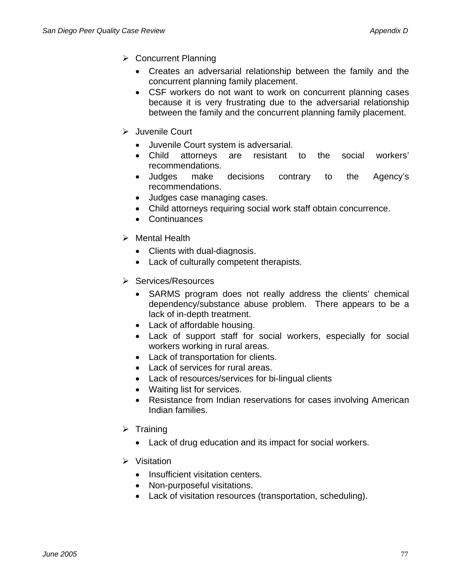- ¾ Concurrent Planning
	- Creates an adversarial relationship between the family and the concurrent planning family placement.
	- CSF workers do not want to work on concurrent planning cases because it is very frustrating due to the adversarial relationship between the family and the concurrent planning family placement.
- ¾ Juvenile Court
	- Juvenile Court system is adversarial.
	- Child attorneys are resistant to the social workers' recommendations.
	- Judges make decisions contrary to the Agency's recommendations.
	- Judges case managing cases.
	- Child attorneys requiring social work staff obtain concurrence.
	- Continuances
- $\triangleright$  Mental Health
	- Clients with dual-diagnosis.
	- Lack of culturally competent therapists.
- ¾ Services/Resources
	- SARMS program does not really address the clients' chemical dependency/substance abuse problem. There appears to be a lack of in-depth treatment.
	- Lack of affordable housing.
	- Lack of support staff for social workers, especially for social workers working in rural areas.
	- Lack of transportation for clients.
	- Lack of services for rural areas.
	- Lack of resources/services for bi-lingual clients
	- Waiting list for services.
	- Resistance from Indian reservations for cases involving American Indian families.
- $\triangleright$  Training
	- Lack of drug education and its impact for social workers.
- $\triangleright$  Visitation
	- Insufficient visitation centers.
	- Non-purposeful visitations.
	- Lack of visitation resources (transportation, scheduling).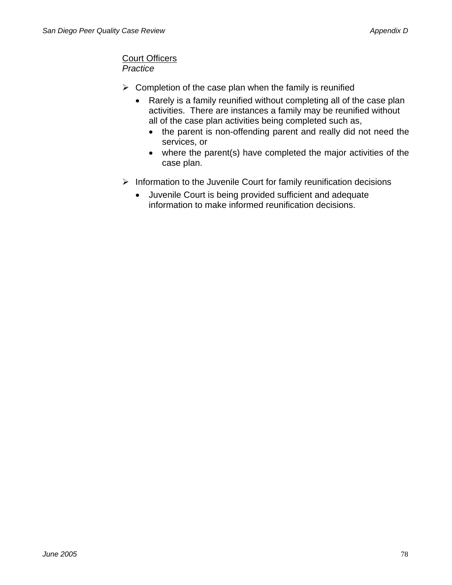#### Court Officers *Practice*

- $\triangleright$  Completion of the case plan when the family is reunified
	- Rarely is a family reunified without completing all of the case plan activities. There are instances a family may be reunified without all of the case plan activities being completed such as,
		- the parent is non-offending parent and really did not need the services, or
		- where the parent(s) have completed the major activities of the case plan.
- $\triangleright$  Information to the Juvenile Court for family reunification decisions
	- Juvenile Court is being provided sufficient and adequate information to make informed reunification decisions.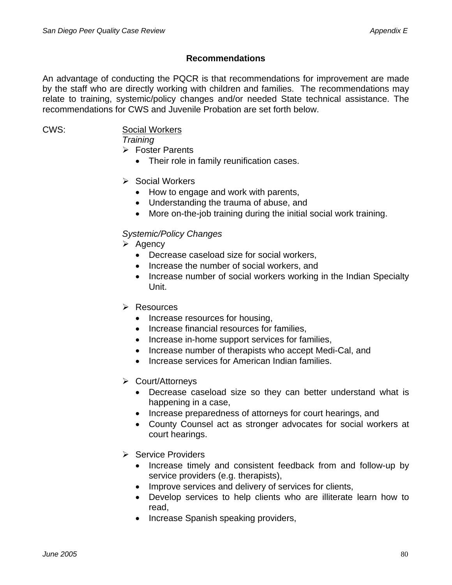## **Recommendations**

An advantage of conducting the PQCR is that recommendations for improvement are made by the staff who are directly working with children and families. The recommendations may relate to training, systemic/policy changes and/or needed State technical assistance. The recommendations for CWS and Juvenile Probation are set forth below.

## CWS: Social Workers

*Training* 

 $\triangleright$  Foster Parents

• Their role in family reunification cases.

## ¾ Social Workers

- How to engage and work with parents,
- Understanding the trauma of abuse, and
- More on-the-job training during the initial social work training.

## *Systemic/Policy Changes*

- $\triangleright$  Agency
	- Decrease caseload size for social workers,
	- Increase the number of social workers, and
	- Increase number of social workers working in the Indian Specialty Unit.
- $\triangleright$  Resources
	- Increase resources for housing,
	- Increase financial resources for families,
	- Increase in-home support services for families,
	- Increase number of therapists who accept Medi-Cal, and
	- Increase services for American Indian families.
- ¾ Court/Attorneys
	- Decrease caseload size so they can better understand what is happening in a case,
	- Increase preparedness of attorneys for court hearings, and
	- County Counsel act as stronger advocates for social workers at court hearings.
- $\triangleright$  Service Providers
	- Increase timely and consistent feedback from and follow-up by service providers (e.g. therapists),
	- Improve services and delivery of services for clients,
	- Develop services to help clients who are illiterate learn how to read,
	- Increase Spanish speaking providers,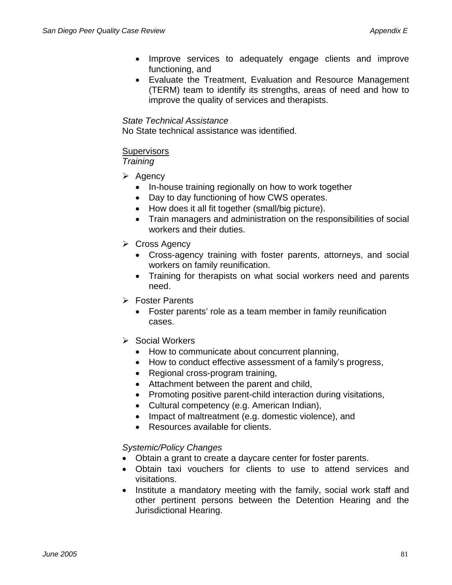- Improve services to adequately engage clients and improve functioning, and
- Evaluate the Treatment, Evaluation and Resource Management (TERM) team to identify its strengths, areas of need and how to improve the quality of services and therapists.

#### *State Technical Assistance*

No State technical assistance was identified.

### **Supervisors**

*Training* 

- $\triangleright$  Agency
	- In-house training regionally on how to work together
	- Day to day functioning of how CWS operates.
	- How does it all fit together (small/big picture).
	- Train managers and administration on the responsibilities of social workers and their duties.
- $\triangleright$  Cross Agency
	- Cross-agency training with foster parents, attorneys, and social workers on family reunification.
	- Training for therapists on what social workers need and parents need.
- $\triangleright$  Foster Parents
	- Foster parents' role as a team member in family reunification cases.
- $\triangleright$  Social Workers
	- How to communicate about concurrent planning,
	- How to conduct effective assessment of a family's progress,
	- Regional cross-program training,
	- Attachment between the parent and child,
	- Promoting positive parent-child interaction during visitations,
	- Cultural competency (e.g. American Indian),
	- Impact of maltreatment (e.g. domestic violence), and
	- Resources available for clients.

### *Systemic/Policy Changes*

- Obtain a grant to create a daycare center for foster parents.
- Obtain taxi vouchers for clients to use to attend services and visitations.
- Institute a mandatory meeting with the family, social work staff and other pertinent persons between the Detention Hearing and the Jurisdictional Hearing.